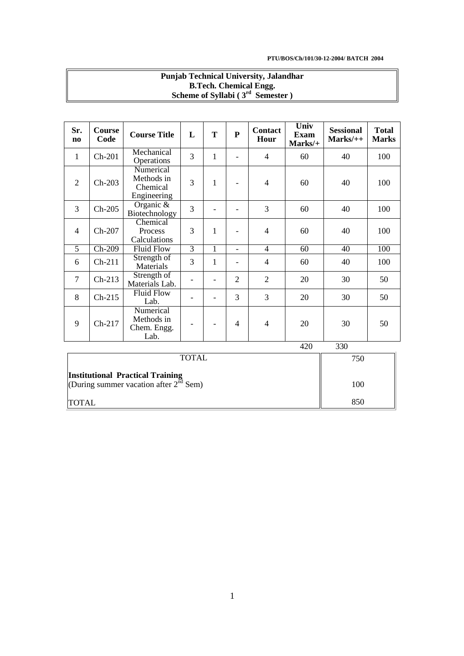850

|                                                                                     | <b>Punjab Technical University, Jalandhar</b><br><b>B.Tech. Chemical Engg.</b><br>Scheme of Syllabi $(3rd$ Semester) |                                                    |                   |                |                   |                        |                                |                                |                              |  |
|-------------------------------------------------------------------------------------|----------------------------------------------------------------------------------------------------------------------|----------------------------------------------------|-------------------|----------------|-------------------|------------------------|--------------------------------|--------------------------------|------------------------------|--|
|                                                                                     |                                                                                                                      |                                                    |                   |                |                   |                        |                                |                                |                              |  |
| Sr.<br>$\mathbf{n}\mathbf{o}$                                                       | Course<br>Code                                                                                                       | <b>Course Title</b>                                | L                 | T              | ${\bf P}$         | <b>Contact</b><br>Hour | Univ<br><b>Exam</b><br>Marks/+ | <b>Sessional</b><br>$Marks/++$ | <b>Total</b><br><b>Marks</b> |  |
| 1                                                                                   | $Ch-201$                                                                                                             | Mechanical<br>Operations                           | 3                 | 1              | $\overline{a}$    | $\overline{4}$         | 60                             | 40                             | 100                          |  |
| 2                                                                                   | $Ch-203$                                                                                                             | Numerical<br>Methods in<br>Chemical<br>Engineering | 3                 | $\mathbf{1}$   |                   | $\overline{4}$         | 60                             | 40                             | 100                          |  |
| 3                                                                                   | $Ch-205$                                                                                                             | Organic &<br>Biotechnology                         | 3                 | $\overline{a}$ |                   | 3                      | 60                             | 40                             | 100                          |  |
| $\overline{4}$                                                                      | Ch-207                                                                                                               | Chemical<br>Process<br>Calculations                | 3                 | $\mathbf{1}$   |                   | $\overline{4}$         | 60                             | 40                             | 100                          |  |
| $\overline{5}$                                                                      | $Ch-209$                                                                                                             | <b>Fluid Flow</b>                                  | $\overline{3}$    | $\mathbf{1}$   | $\qquad \qquad -$ | $\overline{4}$         | $\overline{60}$                | $\overline{40}$                | 100                          |  |
| 6                                                                                   | $Ch-211$                                                                                                             | Strength of<br>Materials                           | 3                 | 1              | $\overline{a}$    | $\overline{4}$         | 60                             | 40                             | 100                          |  |
| 7                                                                                   | $Ch-213$                                                                                                             | Strength of<br>Materials Lab.                      | $\qquad \qquad -$ | $\overline{a}$ | $\overline{2}$    | $\overline{2}$         | 20                             | 30                             | 50                           |  |
| 8                                                                                   | $Ch-215$                                                                                                             | <b>Fluid Flow</b><br>Lab.                          |                   | $\overline{a}$ | 3                 | 3                      | 20                             | 30                             | 50                           |  |
| 9                                                                                   | $Ch-217$                                                                                                             | Numerical<br>Methods in<br>Chem. Engg.<br>Lab.     |                   |                | $\overline{4}$    | 4                      | 20                             | 30                             | 50                           |  |
|                                                                                     |                                                                                                                      |                                                    |                   |                |                   |                        | 420                            | 330                            |                              |  |
| <b>TOTAL</b>                                                                        |                                                                                                                      |                                                    |                   |                |                   |                        |                                | 750                            |                              |  |
| <b>Institutional Practical Training</b><br>(During summer vacation after $2nd$ Sem) |                                                                                                                      |                                                    |                   |                |                   |                        |                                | 100                            |                              |  |

# **Punjab Technical University, Jalandhar**

TOTAL

(During summer vacation after  $2^{\overline{nd}}$  Sem)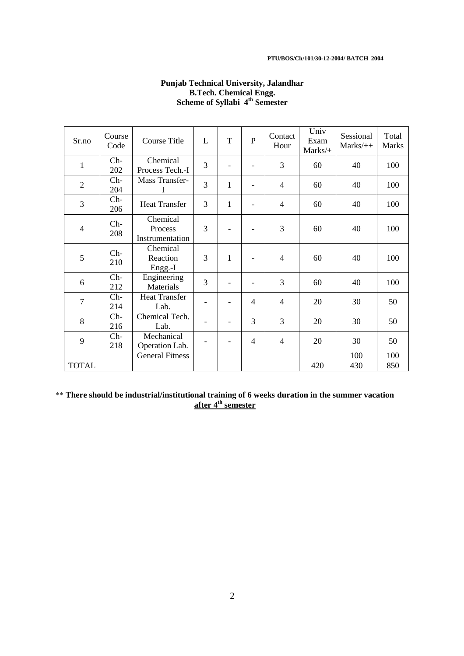#### **PTU/BOS/Ch/101/30-12-2004/ BATCH 2004**

| Sr.no          | Course<br>Code | Course Title                           | L              | T            | P                        | Contact<br>Hour | Univ<br>Exam<br>Marks/+ | Sessional<br>$Marks/++$ | Total<br><b>Marks</b> |
|----------------|----------------|----------------------------------------|----------------|--------------|--------------------------|-----------------|-------------------------|-------------------------|-----------------------|
| 1              | $Ch-$<br>202   | Chemical<br>Process Tech.-I            | $\overline{3}$ |              |                          | 3               | 60                      | 40                      | 100                   |
| $\overline{2}$ | $Ch-$<br>204   | Mass Transfer-<br>$\bf{I}$             | 3              | 1            | -                        | $\overline{4}$  | 60                      | 40                      | 100                   |
| 3              | $Ch-$<br>206   | <b>Heat Transfer</b>                   | 3              | 1            | -                        | $\overline{4}$  | 60                      | 40                      | 100                   |
| $\overline{4}$ | $Ch-$<br>208   | Chemical<br>Process<br>Instrumentation | 3              |              |                          | 3               | 60                      | 40                      | 100                   |
| 5              | $Ch-$<br>210   | Chemical<br>Reaction<br>Engg.-I        | 3              | $\mathbf{1}$ |                          | 4               | 60                      | 40                      | 100                   |
| 6              | $Ch-$<br>212   | Engineering<br>Materials               | 3              |              |                          | 3               | 60                      | 40                      | 100                   |
| $\overline{7}$ | $Ch-$<br>214   | <b>Heat Transfer</b><br>Lab.           |                |              | $\overline{\mathcal{A}}$ | $\overline{4}$  | 20                      | 30                      | 50                    |
| 8              | $Ch-$<br>216   | Chemical Tech.<br>Lab.                 |                |              | 3                        | 3               | 20                      | 30                      | 50                    |
| 9              | $Ch-$<br>218   | Mechanical<br>Operation Lab.           |                |              | $\overline{4}$           | 4               | 20                      | 30                      | 50                    |
|                |                | <b>General Fitness</b>                 |                |              |                          |                 |                         | 100                     | 100                   |
| <b>TOTAL</b>   |                |                                        |                |              |                          |                 | 420                     | 430                     | 850                   |

## **Punjab Technical University, Jalandhar B.Tech. Chemical Engg. Scheme of Syllabi 4th Semester**

\*\* **There should be industrial/institutional training of 6 weeks duration in the summer vacation after 4th semester**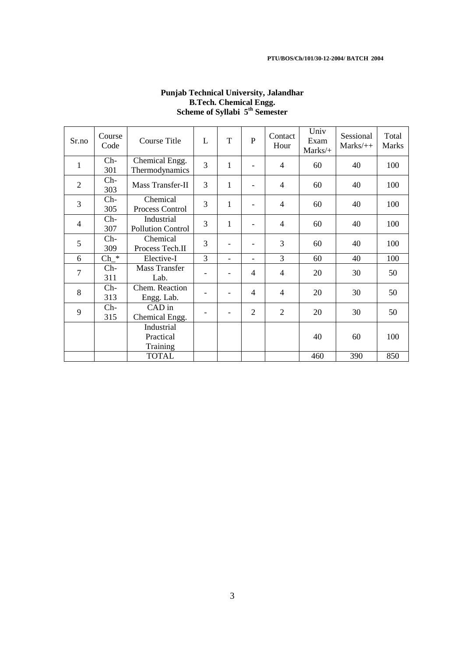| Sr.no          | Course<br>Code | Course Title                           | L              | T            | P                        | Contact<br>Hour | Univ<br>Exam<br>Marks/+ | Sessional<br>$Marks/++$ | Total<br><b>Marks</b> |
|----------------|----------------|----------------------------------------|----------------|--------------|--------------------------|-----------------|-------------------------|-------------------------|-----------------------|
| $\mathbf{1}$   | $Ch-$<br>301   | Chemical Engg.<br>Thermodynamics       | $\overline{3}$ | 1            |                          | $\overline{4}$  | 60                      | 40                      | 100                   |
| $\overline{2}$ | $Ch-$<br>303   | Mass Transfer-II                       | 3              | $\mathbf{1}$ |                          | $\overline{4}$  | 60                      | 40                      | 100                   |
| 3              | $Ch-$<br>305   | Chemical<br>Process Control            | 3              | 1            |                          | $\overline{4}$  | 60                      | 40                      | 100                   |
| $\overline{4}$ | $Ch-$<br>307   | Industrial<br><b>Pollution Control</b> | 3              | $\mathbf{1}$ |                          | $\overline{4}$  | 60                      | 40                      | 100                   |
| 5              | $Ch-$<br>309   | Chemical<br>Process Tech.II            | 3              |              |                          | 3               | 60                      | 40                      | 100                   |
| 6              | $Ch *$         | Elective-I                             | $\overline{3}$ |              |                          | 3               | 60                      | 40                      | 100                   |
| 7              | $Ch-$<br>311   | Mass Transfer<br>Lab.                  |                |              | $\overline{\mathcal{A}}$ | $\overline{4}$  | 20                      | 30                      | 50                    |
| 8              | $Ch-$<br>313   | Chem. Reaction<br>Engg. Lab.           |                |              | $\overline{\mathcal{A}}$ | $\overline{4}$  | 20                      | 30                      | 50                    |
| 9              | $Ch-$<br>315   | CAD in<br>Chemical Engg.               |                |              | $\overline{2}$           | $\mathfrak{2}$  | 20                      | 30                      | 50                    |
|                |                | Industrial<br>Practical<br>Training    |                |              |                          |                 | 40                      | 60                      | 100                   |
|                |                | <b>TOTAL</b>                           |                |              |                          |                 | 460                     | 390                     | 850                   |

## **Punjab Technical University, Jalandhar B.Tech. Chemical Engg. Scheme of Syllabi 5th Semester**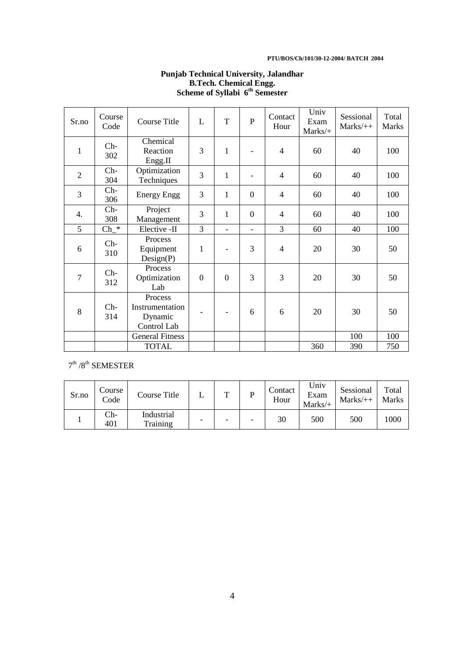#### **PTU/BOS/Ch/101/30-12-2004/ BATCH 2004**

| Sr.no          | Course<br>Code    | <b>Course Title</b>                                  | L            | T              | P                        | Contact<br>Hour | Univ<br>Exam<br>Marks/+ | Sessional<br>$Marks/++$ | Total<br><b>Marks</b> |
|----------------|-------------------|------------------------------------------------------|--------------|----------------|--------------------------|-----------------|-------------------------|-------------------------|-----------------------|
| $\mathbf{1}$   | $Ch-$<br>302      | Chemical<br>Reaction<br>Engg.II                      | 3            | $\mathbf{1}$   |                          | $\overline{4}$  | 60                      | 40                      | 100                   |
| $\overline{2}$ | $Ch-$<br>304      | Optimization<br>Techniques                           | 3            | $\mathbf{1}$   |                          | $\overline{4}$  | 60                      | 40                      | 100                   |
| 3              | $Ch-$<br>306      | <b>Energy Engg</b>                                   | 3            | 1              | $\Omega$                 | $\overline{4}$  | 60                      | 40                      | 100                   |
| 4.             | $Ch-$<br>308      | Project<br>Management                                | 3            | 1              | $\Omega$                 | $\overline{4}$  | 60                      | 40                      | 100                   |
| 5              | $\text{Ch}_{-}^*$ | Elective -II                                         | 3            | $\overline{a}$ | $\overline{\phantom{0}}$ | 3               | 60                      | 40                      | 100                   |
| 6              | $Ch-$<br>310      | Process<br>Equipment<br>Design(P)                    | $\mathbf{1}$ |                | 3                        | $\overline{4}$  | 20                      | 30                      | 50                    |
| 7              | $Ch-$<br>312      | Process<br>Optimization<br>Lab                       | $\theta$     | $\overline{0}$ | 3                        | 3               | 20                      | 30                      | 50                    |
| 8              | $Ch-$<br>314      | Process<br>Instrumentation<br>Dynamic<br>Control Lab |              |                | 6                        | 6               | 20                      | 30                      | 50                    |
|                |                   | <b>General Fitness</b>                               |              |                |                          |                 |                         | 100                     | 100                   |
|                |                   | <b>TOTAL</b>                                         |              |                |                          |                 | 360                     | 390                     | 750                   |

## **Punjab Technical University, Jalandhar B.Tech. Chemical Engg. Scheme of Syllabi 6th Semester**

 $7<sup>th</sup>$  /8<sup>th</sup> SEMESTER

| Sr.no | Course<br>Code | Course Title           | m                        |                          | Contact<br>Hour | Univ<br>Exam<br>$Marks/+$ | Sessional<br>$Marks/++$ | Total<br><b>Marks</b> |
|-------|----------------|------------------------|--------------------------|--------------------------|-----------------|---------------------------|-------------------------|-----------------------|
|       | Ch-<br>401     | Industrial<br>Training | $\overline{\phantom{0}}$ | $\overline{\phantom{0}}$ | 30              | 500                       | 500                     | 1000                  |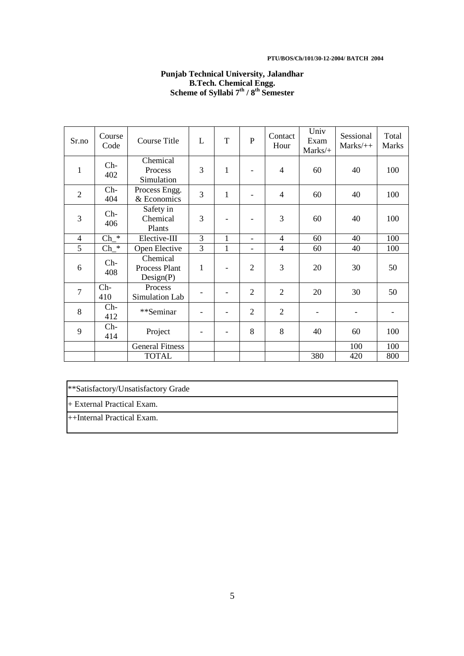#### **PTU/BOS/Ch/101/30-12-2004/ BATCH 2004**

## **Punjab Technical University, Jalandhar B.Tech. Chemical Engg. Scheme of Syllabi 7th / 8th Semester**

| Sr.no          | Course<br>Code     | <b>Course Title</b>                    | L            | T            | P              | Contact<br>Hour | Univ<br>Exam<br>Marks/+ | Sessional<br>$Marks/++$ | Total<br><b>Marks</b> |
|----------------|--------------------|----------------------------------------|--------------|--------------|----------------|-----------------|-------------------------|-------------------------|-----------------------|
| $\mathbf{1}$   | $Ch-$<br>402       | Chemical<br>Process<br>Simulation      | 3            | $\mathbf{1}$ |                | 4               | 60                      | 40                      | 100                   |
| $\overline{2}$ | $Ch-$<br>404       | Process Engg.<br>& Economics           | 3            | 1            |                | 4               | 60                      | 40                      | 100                   |
| 3              | $Ch-$<br>406       | Safety in<br>Chemical<br>Plants        | 3            |              |                | 3               | 60                      | 40                      | 100                   |
| $\overline{4}$ | $\text{Ch}_{-}^*$  | Elective-III                           | 3            | 1            | $\overline{a}$ | $\overline{4}$  | 60                      | 40                      | 100                   |
| 5              | $\mathrm{Ch}\_{*}$ | Open Elective                          | 3            | $\mathbf{1}$ | -              | 4               | 60                      | 40                      | 100                   |
| 6              | $Ch-$<br>408       | Chemical<br>Process Plant<br>Design(P) | $\mathbf{1}$ |              | $\overline{2}$ | 3               | 20                      | 30                      | 50                    |
| $\overline{7}$ | $Ch-$<br>410       | Process<br>Simulation Lab              |              |              | $\mathfrak{D}$ | $\overline{2}$  | 20                      | 30                      | 50                    |
| 8              | $Ch-$<br>412       | **Seminar                              |              |              | $\overline{2}$ | $\overline{2}$  |                         |                         |                       |
| 9              | $Ch-$<br>414       | Project                                |              |              | 8              | 8               | 40                      | 60                      | 100                   |
|                |                    | <b>General Fitness</b>                 |              |              |                |                 |                         | 100                     | 100                   |
|                |                    | <b>TOTAL</b>                           |              |              |                |                 | 380                     | 420                     | 800                   |

\*\*Satisfactory/Unsatisfactory Grade

+ External Practical Exam.

++Internal Practical Exam.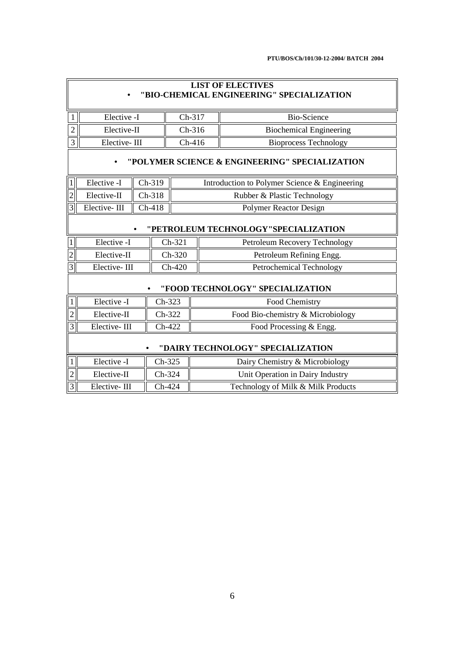|                                      | <b>LIST OF ELECTIVES</b><br>"BIO-CHEMICAL ENGINEERING" SPECIALIZATION |          |        |                               |  |                                               |  |  |
|--------------------------------------|-----------------------------------------------------------------------|----------|--------|-------------------------------|--|-----------------------------------------------|--|--|
| $\mathbf{1}$                         | Elective -I                                                           |          |        | Ch-317                        |  | <b>Bio-Science</b>                            |  |  |
| $\overline{c}$                       | Elective-II                                                           |          |        | Ch-316                        |  | <b>Biochemical Engineering</b>                |  |  |
| 3                                    | Elective-III                                                          |          |        | $Ch-416$                      |  | <b>Bioprocess Technology</b>                  |  |  |
|                                      | "POLYMER SCIENCE & ENGINEERING" SPECIALIZATION                        |          |        |                               |  |                                               |  |  |
|                                      | Elective -I                                                           | Ch-319   |        |                               |  | Introduction to Polymer Science & Engineering |  |  |
| $\overline{2}$                       | Elective-II                                                           | $Ch-318$ |        | Rubber & Plastic Technology   |  |                                               |  |  |
| 3 <sup>1</sup>                       | Elective-III                                                          | $Ch-418$ |        | <b>Polymer Reactor Design</b> |  |                                               |  |  |
| "PETROLEUM TECHNOLOGY"SPECIALIZATION |                                                                       |          |        |                               |  |                                               |  |  |
|                                      | Elective -I                                                           |          |        | Ch-321                        |  | Petroleum Recovery Technology                 |  |  |
| 2                                    | Elective-II                                                           |          |        | $Ch-320$                      |  | Petroleum Refining Engg.                      |  |  |
| 3                                    | Elective-III                                                          |          |        | $Ch-420$                      |  | Petrochemical Technology                      |  |  |
|                                      |                                                                       |          |        |                               |  | "FOOD TECHNOLOGY" SPECIALIZATION              |  |  |
| $\mathbf{1}$                         | Elective -I                                                           |          | Ch-323 |                               |  | Food Chemistry                                |  |  |
| $\overline{2}$                       | Elective-II                                                           |          | Ch-322 |                               |  | Food Bio-chemistry & Microbiology             |  |  |
| $\overline{3}$                       | Elective-III                                                          |          | Ch-422 |                               |  | Food Processing & Engg.                       |  |  |
|                                      | "DAIRY TECHNOLOGY" SPECIALIZATION                                     |          |        |                               |  |                                               |  |  |
| 1 <sup>1</sup>                       | Elective -I                                                           |          | Ch-325 |                               |  | Dairy Chemistry & Microbiology                |  |  |
| $\overline{2}$                       | Elective-II                                                           |          | Ch-324 |                               |  | Unit Operation in Dairy Industry              |  |  |
| 3                                    | Elective-III                                                          |          | Ch-424 |                               |  | Technology of Milk & Milk Products            |  |  |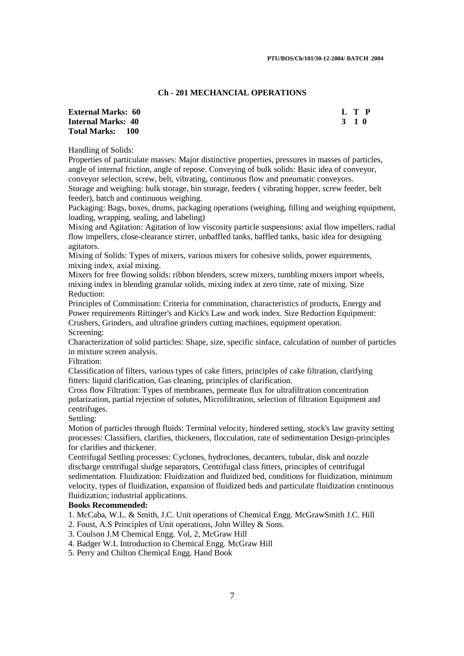## **Ch - 201 MECHANCIAL OPERATIONS**

| <b>External Marks: 60</b> | L T P |
|---------------------------|-------|
| <b>Internal Marks: 40</b> | 3 1 0 |
| <b>Total Marks: 100</b>   |       |

Handling of Solids:

Properties of particulate masses: Major distinctive properties, pressures in masses of particles, angle of internal friction, angle of repose. Conveying of bulk solids: Basic idea of conveyor, conveyor selection, screw, belt, vibrating, continuous flow and pneumatic conveyors.

Storage and weighing: bulk storage, bin storage, feeders ( vibrating hopper, screw feeder, belt feeder), batch and continuous weighing.

Packaging: Bags, boxes, drums, packaging operations (weighing, filling and weighing equipment, loading, wrapping, sealing, and labeling)

Mixing and Agitation: Agitation of low viscosity particle suspensions: axial flow impellers, radial flow impellers, close-clearance stirrer, unbaffled tanks, baffled tanks, basic idea for designing agitators.

Mixing of Solids: Types of mixers, various mixers for cohesive solids, power equirements, mixing index, axial mixing.

Mixers for free flowing solids: ribbon blenders, screw mixers, tumbling mixers import wheels, mixing index in blending granular solids, mixing index at zero time, rate of mixing. Size Reduction:

Principles of Commination: Criteria for commination, characteristics of products, Energy and Power requirements Rittinger's and Kick's Law and work index. Size Reduction Equipment: Crushers, Grinders, and ultrafine grinders cutting machines, equipment operation.

Screening:

Characterization of solid particles: Shape, size, specific sinface, calculation of number of particles in mixture screen analysis.

Filtration:

Classification of filters, various types of cake fitters, principles of cake filtration, clarifying fitters: liquid clarification, Gas cleaning, principles of clarification.

Cross flow Filtration: Types of membranes, permeate flux for ultrafiltration concentration polarization, partial rejection of solutes, Microfiltration, selection of filtration Equipment and centrifuges.

Settling:

Motion of particles through fluids: Terminal velocity, hindered setting, stock's law gravity setting processes: Classifiers, clarifies, thickeners, flocculation, rate of sedimentation Design-principles for clarifies and thickener.

Centrifugal Settling processes: Cyclones, hydroclones, decanters, tubular, disk and nozzle discharge centrifugal sludge separators, Centrifugal class fitters, principles of centrifugal sedimentation. Fluidization: Fluidization and fluidized bed, conditions for fluidization, minimum velocity, types of fluidization, expansion of fluidized beds and particulate fluidization continuous fluidization; industrial applications.

#### **Books Recommended:**

1. McCaba, W.L. & Smith, J.C. Unit operations of Chemical Engg. McGrawSmith J.C. Hill

2. Foust, A.S Principles of Unit operations, John Willey & Sons.

3. Coulson J.M Chemical Engg. Vol, 2, McGraw Hill

4. Badger W.L Introduction to Chemical Engg. McGraw Hill

5. Perry and Chilton Chemical Engg. Hand Book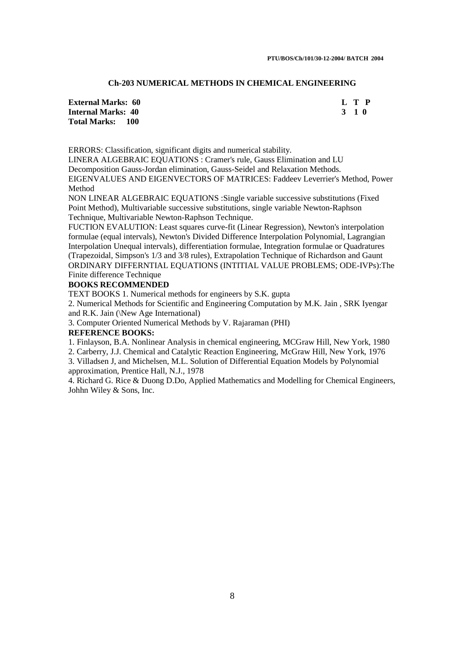## **Ch-203 NUMERICAL METHODS IN CHEMICAL ENGINEERING**

**External Marks: 60 L T P Internal Marks: 40 3 1 0 3 2 3 4 4 5 6 7 7 8 7 7 8 7 7 8 7 7 8 7 8 7 8 7 7 8 7 8 7 8 7 8 7 8 7 8 7 8 7 8 7 8 7 8 7 8 7 8 7 8 7 8 7 8 7 8 7 8 7 8 7 8 7 8 7 8 7 8 7 8 7 8 7 8 7 8 7 8 7 8 7 8 7 8 7 8 7 8 7 8 7 8 7 8 7 8 7 8 Total Marks: 100** 

ERRORS: Classification, significant digits and numerical stability.

LINERA ALGEBRAIC EQUATIONS : Cramer's rule, Gauss Elimination and LU Decomposition Gauss-Jordan elimination, Gauss-Seidel and Relaxation Methods. EIGENVALUES AND EIGENVECTORS OF MATRICES: Faddeev Leverrier's Method, Power Method

NON LINEAR ALGEBRAIC EQUATIONS :Single variable successive substitutions (Fixed Point Method), Multivariable successive substitutions, single variable Newton-Raphson Technique, Multivariable Newton-Raphson Technique.

FUCTION EVALUTION: Least squares curve-fit (Linear Regression), Newton's interpolation formulae (equal intervals), Newton's Divided Difference Interpolation Polynomial, Lagrangian Interpolation Unequal intervals), differentiation formulae, Integration formulae or Quadratures (Trapezoidal, Simpson's 1/3 and 3/8 rules), Extrapolation Technique of Richardson and Gaunt ORDINARY DIFFERNTIAL EQUATIONS (INTITIAL VALUE PROBLEMS; ODE-IVPs):The Finite difference Technique

#### **BOOKS RECOMMENDED**

TEXT BOOKS 1. Numerical methods for engineers by S.K. gupta

2. Numerical Methods for Scientific and Engineering Computation by M.K. Jain , SRK Iyengar and R.K. Jain (\New Age International)

3. Computer Oriented Numerical Methods by V. Rajaraman (PHI)

#### **REFERENCE BOOKS:**

1. Finlayson, B.A. Nonlinear Analysis in chemical engineering, MCGraw Hill, New York, 1980

2. Carberry, J.J. Chemical and Catalytic Reaction Engineering, McGraw Hill, New York, 1976 3. Villadsen J, and Michelsen, M.L. Solution of Differential Equation Models by Polynomial

approximation, Prentice Hall, N.J., 1978

4. Richard G. Rice & Duong D.Do, Applied Mathematics and Modelling for Chemical Engineers, Johhn Wiley & Sons, Inc.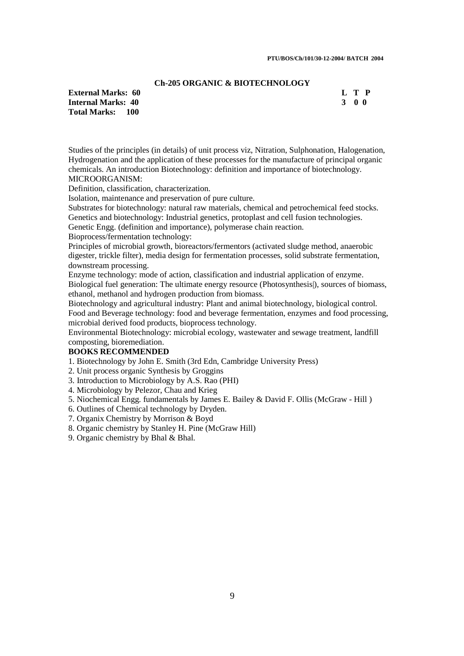#### **Ch-205 ORGANIC & BIOTECHNOLOGY**

**Internal Marks: 40 Total Marks: 100** 

**External Marks: 60** L T P<br> **Internal Marks: 40** 3 0 0

Studies of the principles (in details) of unit process viz, Nitration, Sulphonation, Halogenation, Hydrogenation and the application of these processes for the manufacture of principal organic chemicals. An introduction Biotechnology: definition and importance of biotechnology. MICROORGANISM:

Definition, classification, characterization.

Isolation, maintenance and preservation of pure culture.

Substrates for biotechnology: natural raw materials, chemical and petrochemical feed stocks. Genetics and biotechnology: Industrial genetics, protoplast and cell fusion technologies.

Genetic Engg. (definition and importance), polymerase chain reaction.

Bioprocess/fermentation technology:

Principles of microbial growth, bioreactors/fermentors (activated sludge method, anaerobic digester, trickle filter), media design for fermentation processes, solid substrate fermentation, downstream processing.

Enzyme technology: mode of action, classification and industrial application of enzyme. Biological fuel generation: The ultimate energy resource (Photosynthesis|), sources of biomass,

ethanol, methanol and hydrogen production from biomass.

Biotechnology and agricultural industry: Plant and animal biotechnology, biological control. Food and Beverage technology: food and beverage fermentation, enzymes and food processing, microbial derived food products, bioprocess technology.

Environmental Biotechnology: microbial ecology, wastewater and sewage treatment, landfill composting, bioremediation.

## **BOOKS RECOMMENDED**

1. Biotechnology by John E. Smith (3rd Edn, Cambridge University Press)

2. Unit process organic Synthesis by Groggins

3. Introduction to Microbiology by A.S. Rao (PHI)

4. Microbiology by Pelezor, Chau and Krieg

5. Niochemical Engg. fundamentals by James E. Bailey & David F. Ollis (McGraw - Hill )

6. Outlines of Chemical technology by Dryden.

- 7. Organix Chemistry by Morrison & Boyd
- 8. Organic chemistry by Stanley H. Pine (McGraw Hill)
- 9. Organic chemistry by Bhal & Bhal.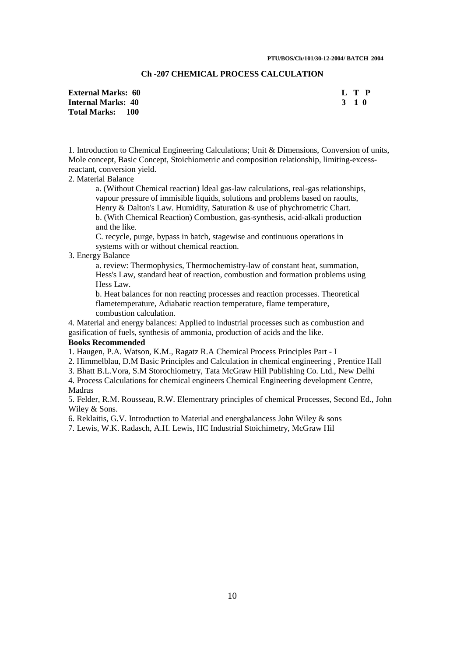## **Ch -207 CHEMICAL PROCESS CALCULATION**

| <b>External Marks: 60</b> | L T P |
|---------------------------|-------|
| <b>Internal Marks: 40</b> | 3 1 0 |
| <b>Total Marks: 100</b>   |       |

1. Introduction to Chemical Engineering Calculations; Unit & Dimensions, Conversion of units, Mole concept, Basic Concept, Stoichiometric and composition relationship, limiting-excessreactant, conversion yield.

## 2. Material Balance

a. (Without Chemical reaction) Ideal gas-law calculations, real-gas relationships, vapour pressure of immisible liquids, solutions and problems based on raoults, Henry & Dalton's Law. Humidity, Saturation & use of phychrometric Chart. b. (With Chemical Reaction) Combustion, gas-synthesis, acid-alkali production and the like.

C. recycle, purge, bypass in batch, stagewise and continuous operations in systems with or without chemical reaction.

#### 3. Energy Balance

a. review: Thermophysics, Thermochemistry-law of constant heat, summation, Hess's Law, standard heat of reaction, combustion and formation problems using Hess Law.

b. Heat balances for non reacting processes and reaction processes. Theoretical flametemperature, Adiabatic reaction temperature, flame temperature, combustion calculation.

4. Material and energy balances: Applied to industrial processes such as combustion and gasification of fuels, synthesis of ammonia, production of acids and the like. **Books Recommended**

1. Haugen, P.A. Watson, K.M., Ragatz R.A Chemical Process Principles Part - I

2. Himmelblau, D.M Basic Principles and Calculation in chemical engineering , Prentice Hall

3. Bhatt B.L.Vora, S.M Storochiometry, Tata McGraw Hill Publishing Co. Ltd., New Delhi

4. Process Calculations for chemical engineers Chemical Engineering development Centre, Madras

5. Felder, R.M. Rousseau, R.W. Elementrary principles of chemical Processes, Second Ed., John Wiley & Sons.

6. Reklaitis, G.V. Introduction to Material and energbalancess John Wiley & sons

7. Lewis, W.K. Radasch, A.H. Lewis, HC Industrial Stoichimetry, McGraw Hil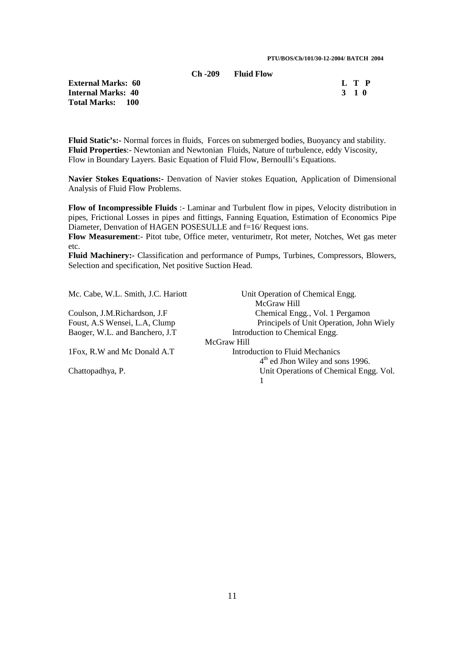## **Ch -209 Fluid Flow**

**External Marks: 60** L T P<br> **Internal Marks: 40** 3 1 0 **Internal Marks: 40 Total Marks: 100** 

**Fluid Static's:-** Normal forces in fluids, Forces on submerged bodies, Buoyancy and stability. **Fluid Properties**:- Newtonian and Newtonian Fluids, Nature of turbulence, eddy Viscosity, Flow in Boundary Layers. Basic Equation of Fluid Flow, Bernoulli's Equations.

**Navier Stokes Equations:-** Denvation of Navier stokes Equation, Application of Dimensional Analysis of Fluid Flow Problems.

**Flow of Incompressible Fluids** :- Laminar and Turbulent flow in pipes, Velocity distribution in pipes, Frictional Losses in pipes and fittings, Fanning Equation, Estimation of Economics Pipe Diameter, Denvation of HAGEN POSESULLE and f=16/Request ions.

**Flow Measurement**:- Pitot tube, Office meter, venturimetr, Rot meter, Notches, Wet gas meter etc.

**Fluid Machinery:-** Classification and performance of Pumps, Turbines, Compressors, Blowers, Selection and specification, Net positive Suction Head.

| Mc. Cabe, W.L. Smith, J.C. Hariott | Unit Operation of Chemical Engg.             |
|------------------------------------|----------------------------------------------|
|                                    | McGraw Hill                                  |
| Coulson, J.M.Richardson, J.F.      | Chemical Engg., Vol. 1 Pergamon              |
| Foust, A.S Wensei, L.A, Clump      | Principels of Unit Operation, John Wiely     |
| Baoger, W.L. and Banchero, J.T.    | Introduction to Chemical Engg.               |
|                                    | McGraw Hill                                  |
| 1Fox, R.W and Mc Donald A.T        | Introduction to Fluid Mechanics              |
|                                    | 4 <sup>th</sup> ed Jhon Wiley and sons 1996. |
| Chattopadhya, P.                   | Unit Operations of Chemical Engg. Vol.       |
|                                    |                                              |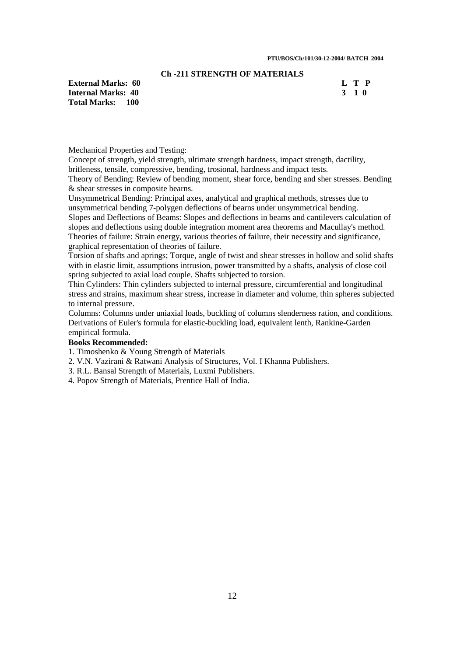## **Ch -211 STRENGTH OF MATERIALS**

**External Marks: 60 L T P Internal Marks:** 40 **3 1 0 Total Marks: 100** 

Mechanical Properties and Testing:

Concept of strength, yield strength, ultimate strength hardness, impact strength, dactility, britleness, tensile, compressive, bending, trosional, hardness and impact tests.

Theory of Bending: Review of bending moment, shear force, bending and sher stresses. Bending & shear stresses in composite bearns.

Unsymmetrical Bending: Principal axes, analytical and graphical methods, stresses due to unsymmetrical bending 7-polygen deflections of bearns under unsymmetrical bending.

Slopes and Deflections of Beams: Slopes and deflections in beams and cantilevers calculation of slopes and deflections using double integration moment area theorems and Macullay's method. Theories of failure: Strain energy, various theories of failure, their necessity and significance, graphical representation of theories of failure.

Torsion of shafts and aprings; Torque, angle of twist and shear stresses in hollow and solid shafts with in elastic limit, assumptions intrusion, power transmitted by a shafts, analysis of close coil spring subjected to axial load couple. Shafts subjected to torsion.

Thin Cylinders: Thin cylinders subjected to internal pressure, circumferential and longitudinal stress and strains, maximum shear stress, increase in diameter and volume, thin spheres subjected to internal pressure.

Columns: Columns under uniaxial loads, buckling of columns slenderness ration, and conditions. Derivations of Euler's formula for elastic-buckling load, equivalent lenth, Rankine-Garden empirical formula.

#### **Books Recommended:**

1. Timoshenko & Young Strength of Materials

2. V.N. Vazirani & Ratwani Analysis of Structures, Vol. I Khanna Publishers.

3. R.L. Bansal Strength of Materials, Luxmi Publishers.

4. Popov Strength of Materials, Prentice Hall of India.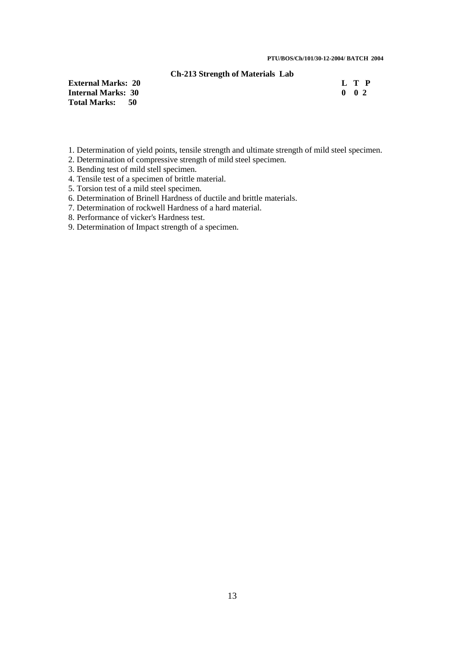#### **Ch-213 Strength of Materials Lab**

**External Marks: 20 Internal Marks: 30 Total Marks: 50** 

|  | L T P               |
|--|---------------------|
|  | $0 \quad 0 \quad 2$ |

- 1. Determination of yield points, tensile strength and ultimate strength of mild steel specimen.
- 2. Determination of compressive strength of mild steel specimen.
- 3. Bending test of mild stell specimen.
- 4. Tensile test of a specimen of brittle material.
- 5. Torsion test of a mild steel specimen.
- 6. Determination of Brinell Hardness of ductile and brittle materials.
- 7. Determination of rockwell Hardness of a hard material.
- 8. Performance of vicker's Hardness test.
- 9. Determination of Impact strength of a specimen.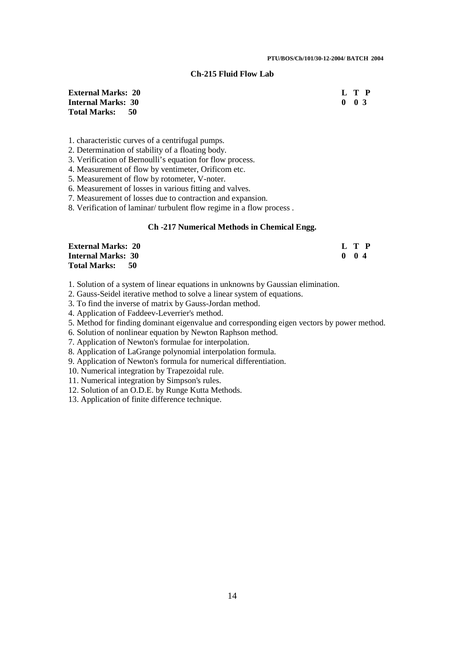## **Ch-215 Fluid Flow Lab**

**External Marks: 20 L T P Internal Marks: 30 Total Marks: 50** 

1. characteristic curves of a centrifugal pumps.

2. Determination of stability of a floating body.

3. Verification of Bernoulli's equation for flow process.

4. Measurement of flow by ventimeter, Orificom etc.

5. Measurement of flow by rotometer, V-noter.

6. Measurement of losses in various fitting and valves.

7. Measurement of losses due to contraction and expansion.

8. Verification of laminar/ turbulent flow regime in a flow process .

#### **Ch -217 Numerical Methods in Chemical Engg.**

| <b>External Marks: 20</b>   | L T P         |
|-----------------------------|---------------|
| <b>Internal Marks: 30</b>   | $0 \t 0 \t 4$ |
| <b>Total Marks:</b><br>- 50 |               |

1. Solution of a system of linear equations in unknowns by Gaussian elimination.

2. Gauss-Seidel iterative method to solve a linear system of equations.

3. To find the inverse of matrix by Gauss-Jordan method.

4. Application of Faddeev-Leverrier's method.

5. Method for finding dominant eigenvalue and corresponding eigen vectors by power method.

6. Solution of nonlinear equation by Newton Raphson method.

7. Application of Newton's formulae for interpolation.

8. Application of LaGrange polynomial interpolation formula.

9. Application of Newton's formula for numerical differentiation.

10. Numerical integration by Trapezoidal rule.

11. Numerical integration by Simpson's rules.

12. Solution of an O.D.E. by Runge Kutta Methods.

13. Application of finite difference technique.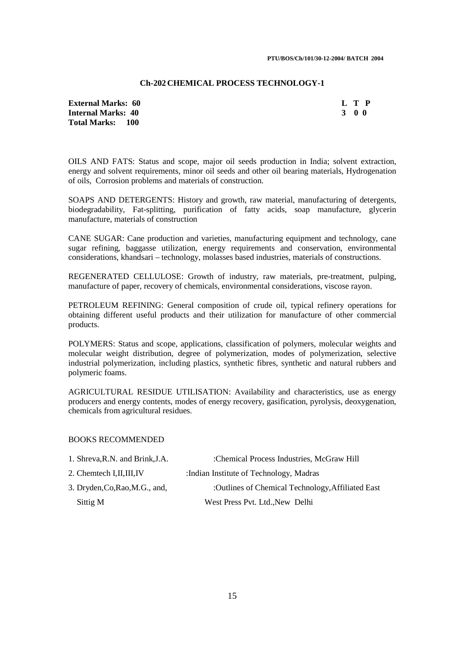#### **Ch-202 CHEMICAL PROCESS TECHNOLOGY-1**

**External Marks: 60 L T P Internal Marks: 40 3 0 0 Total Marks: 100** 

OILS AND FATS: Status and scope, major oil seeds production in India; solvent extraction, energy and solvent requirements, minor oil seeds and other oil bearing materials, Hydrogenation of oils, Corrosion problems and materials of construction.

SOAPS AND DETERGENTS: History and growth, raw material, manufacturing of detergents, biodegradability. Fat-splitting, purification of fatty acids, soap manufacture, glycerin manufacture, materials of construction

CANE SUGAR: Cane production and varieties, manufacturing equipment and technology, cane sugar refining, baggasse utilization, energy requirements and conservation, environmental considerations, khandsari – technology, molasses based industries, materials of constructions.

REGENERATED CELLULOSE: Growth of industry, raw materials, pre-treatment, pulping, manufacture of paper, recovery of chemicals, environmental considerations, viscose rayon.

PETROLEUM REFINING: General composition of crude oil, typical refinery operations for obtaining different useful products and their utilization for manufacture of other commercial products.

POLYMERS: Status and scope, applications, classification of polymers, molecular weights and molecular weight distribution, degree of polymerization, modes of polymerization, selective industrial polymerization, including plastics, synthetic fibres, synthetic and natural rubbers and polymeric foams.

AGRICULTURAL RESIDUE UTILISATION: Availability and characteristics, use as energy producers and energy contents, modes of energy recovery, gasification, pyrolysis, deoxygenation, chemicals from agricultural residues.

## BOOKS RECOMMENDED

| 1. Shreva, R.N. and Brink, J.A. | :Chemical Process Industries, McGraw Hill         |
|---------------------------------|---------------------------------------------------|
| 2. Chemtech I, II, III, IV      | : Indian Institute of Technology, Madras          |
| 3. Dryden, Co, Rao, M.G., and,  | :Outlines of Chemical Technology, Affiliated East |
| Sittig M                        | West Press Pvt. Ltd., New Delhi                   |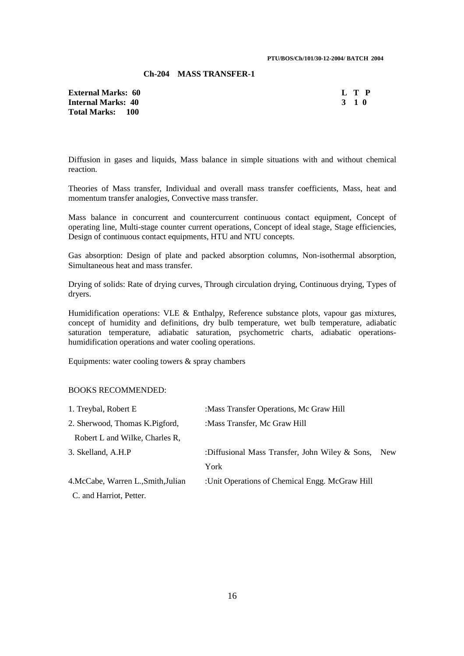## **Ch-204 MASS TRANSFER-1**

**External Marks: 60 Internal Marks: 40 Total Marks: 100** 

| $\mathbf{I}$ | ı | Р            |
|--------------|---|--------------|
| 2            | 1 | $\mathbf{u}$ |

Diffusion in gases and liquids, Mass balance in simple situations with and without chemical reaction.

Theories of Mass transfer, Individual and overall mass transfer coefficients, Mass, heat and momentum transfer analogies, Convective mass transfer.

Mass balance in concurrent and countercurrent continuous contact equipment, Concept of operating line, Multi-stage counter current operations, Concept of ideal stage, Stage efficiencies, Design of continuous contact equipments, HTU and NTU concepts.

Gas absorption: Design of plate and packed absorption columns, Non-isothermal absorption, Simultaneous heat and mass transfer.

Drying of solids: Rate of drying curves, Through circulation drying, Continuous drying, Types of dryers.

Humidification operations: VLE & Enthalpy, Reference substance plots, vapour gas mixtures, concept of humidity and definitions, dry bulb temperature, wet bulb temperature, adiabatic saturation temperature, adiabatic saturation, psychometric charts, adiabatic operationshumidification operations and water cooling operations.

Equipments: water cooling towers & spray chambers

## BOOKS RECOMMENDED:

| 1. Treybal, Robert E                | : Mass Transfer Operations, Mc Graw Hill        |     |
|-------------------------------------|-------------------------------------------------|-----|
| 2. Sherwood, Thomas K. Pigford,     | :Mass Transfer, Mc Graw Hill                    |     |
| Robert L and Wilke, Charles R,      |                                                 |     |
| 3. Skelland, A.H.P                  | :Diffusional Mass Transfer, John Wiley & Sons,  | New |
|                                     | York                                            |     |
| 4. McCabe, Warren L., Smith, Julian | : Unit Operations of Chemical Engg. McGraw Hill |     |
| C. and Harriot, Petter.             |                                                 |     |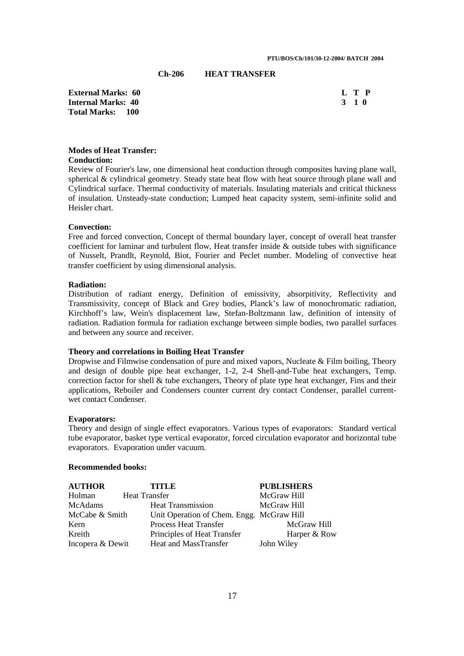## **Ch-206 HEAT TRANSFER**

**External Marks: 60** L T P<br> **Internal Marks: 40** 3 1 0 **Internal Marks: 40 Total Marks: 100** 

## **Modes of Heat Transfer:**

## **Conduction:**

Review of Fourier's law, one dimensional heat conduction through composites having plane wall, spherical & cylindrical geometry. Steady state heat flow with heat source through plane wall and Cylindrical surface. Thermal conductivity of materials. Insulating materials and critical thickness of insulation. Unsteady-state conduction; Lumped heat capacity system, semi-infinite solid and Heisler chart.

#### **Convection:**

Free and forced convection, Concept of thermal boundary layer, concept of overall heat transfer coefficient for laminar and turbulent flow, Heat transfer inside & outside tubes with significance of Nusselt, Prandlt, Reynold, Biot, Fourier and Peclet number. Modeling of convective heat transfer coefficient by using dimensional analysis.

#### **Radiation:**

Distribution of radiant energy, Definition of emissivity, absorpitivity, Reflectivity and Transmissivity, concept of Black and Grey bodies, Planck's law of monochromatic radiation, Kirchhoff's law, Wein's displacement law, Stefan-Boltzmann law, definition of intensity of radiation. Radiation formula for radiation exchange between simple bodies, two parallel surfaces and between any source and receiver.

#### **Theory and correlations in Boiling Heat Transfer**

Dropwise and Filmwise condensation of pure and mixed vapors, Nucleate & Film boiling, Theory and design of double pipe heat exchanger, 1-2, 2-4 Shell-and-Tube heat exchangers, Temp. correction factor for shell & tube exchangers, Theory of plate type heat exchanger. Fins and their applications, Reboiler and Condensers counter current dry contact Condenser, parallel currentwet contact Condenser.

#### **Evaporators:**

Theory and design of single effect evaporators. Various types of evaporators: Standard vertical tube evaporator, basket type vertical evaporator, forced circulation evaporator and horizontal tube evaporators. Evaporation under vacuum.

## **Recommended books:**

| <b>AUTHOR</b>    | <b>TITLE</b>                              | <b>PUBLISHERS</b> |
|------------------|-------------------------------------------|-------------------|
| Holman           | <b>Heat Transfer</b>                      | McGraw Hill       |
| McAdams          | <b>Heat Transmission</b>                  | McGraw Hill       |
| McCabe & Smith   | Unit Operation of Chem. Engg. McGraw Hill |                   |
| Kern             | <b>Process Heat Transfer</b>              | McGraw Hill       |
| Kreith           | Principles of Heat Transfer               | Harper & Row      |
| Incopera & Dewit | Heat and MassTransfer                     | John Wiley        |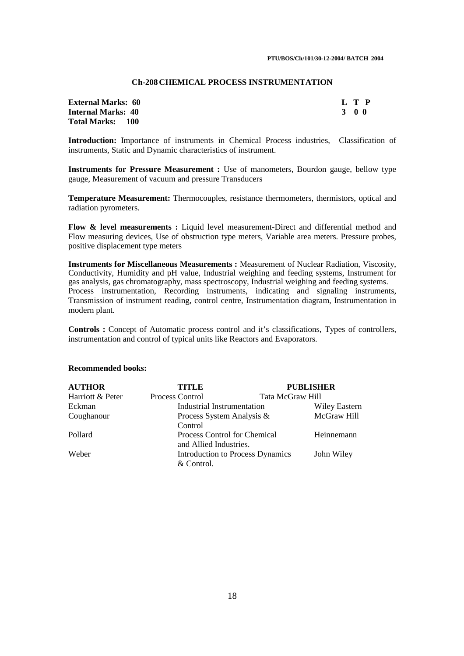#### **Ch-208 CHEMICAL PROCESS INSTRUMENTATION**

| <b>External Marks: 60</b> |       | L T P |
|---------------------------|-------|-------|
| <b>Internal Marks: 40</b> | 3 O O |       |
| <b>Total Marks: 100</b>   |       |       |

**Introduction:** Importance of instruments in Chemical Process industries, Classification of instruments, Static and Dynamic characteristics of instrument.

**Instruments for Pressure Measurement :** Use of manometers, Bourdon gauge, bellow type gauge, Measurement of vacuum and pressure Transducers

**Temperature Measurement:** Thermocouples, resistance thermometers, thermistors, optical and radiation pyrometers.

Flow & level measurements : Liquid level measurement-Direct and differential method and Flow measuring devices, Use of obstruction type meters, Variable area meters. Pressure probes, positive displacement type meters

**Instruments for Miscellaneous Measurements :** Measurement of Nuclear Radiation, Viscosity, Conductivity, Humidity and pH value, Industrial weighing and feeding systems, Instrument for gas analysis, gas chromatography, mass spectroscopy, Industrial weighing and feeding systems. Process instrumentation, Recording instruments, indicating and signaling instruments, Transmission of instrument reading, control centre, Instrumentation diagram, Instrumentation in modern plant.

**Controls :** Concept of Automatic process control and it's classifications, Types of controllers, instrumentation and control of typical units like Reactors and Evaporators.

#### **Recommended books:**

| <b>AUTHOR</b>    | TITLE                        | <b>PUBLISHER</b>                        |                      |
|------------------|------------------------------|-----------------------------------------|----------------------|
| Harriott & Peter | Process Control              | Tata McGraw Hill                        |                      |
| Eckman           | Industrial Instrumentation   |                                         | <b>Wiley Eastern</b> |
| Coughanour       | Process System Analysis &    |                                         | McGraw Hill          |
|                  | Control                      |                                         |                      |
| Pollard          | Process Control for Chemical |                                         | Heinnemann           |
|                  | and Allied Industries.       |                                         |                      |
| Weber            |                              | <b>Introduction to Process Dynamics</b> | John Wiley           |
|                  | & Control.                   |                                         |                      |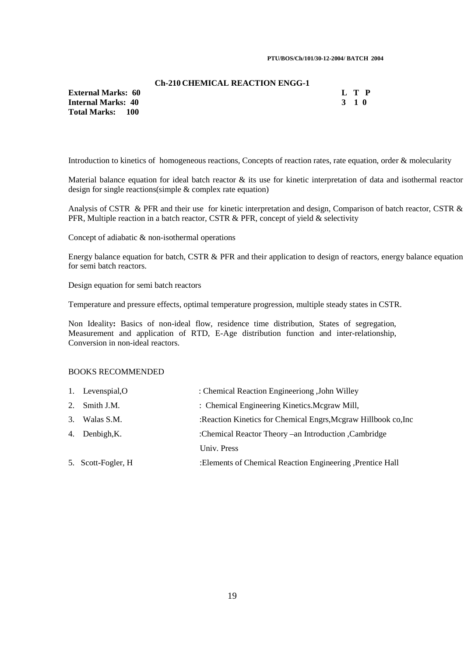#### **PTU/BOS/Ch/101/30-12-2004/ BATCH 2004**

#### **Ch-210 CHEMICAL REACTION ENGG-1**

**External Marks: 60 L T P Internal Marks: 40 3 1 0 Total Marks: 100** 

Introduction to kinetics of homogeneous reactions, Concepts of reaction rates, rate equation, order & molecularity

Material balance equation for ideal batch reactor & its use for kinetic interpretation of data and isothermal reactor design for single reactions(simple & complex rate equation)

Analysis of CSTR & PFR and their use for kinetic interpretation and design, Comparison of batch reactor, CSTR & PFR, Multiple reaction in a batch reactor, CSTR  $\&$  PFR, concept of yield  $\&$  selectivity

Concept of adiabatic & non-isothermal operations

Energy balance equation for batch, CSTR & PFR and their application to design of reactors, energy balance equation for semi batch reactors.

Design equation for semi batch reactors

Temperature and pressure effects, optimal temperature progression, multiple steady states in CSTR.

Non Ideality**:** Basics of non-ideal flow, residence time distribution, States of segregation, Measurement and application of RTD, E-Age distribution function and inter-relationship, Conversion in non-ideal reactors.

## BOOKS RECOMMENDED

| 1. Levenspial, O   | : Chemical Reaction Engineeriong , John Willey                 |
|--------------------|----------------------------------------------------------------|
| 2. Smith J.M.      | : Chemical Engineering Kinetics. Mcgraw Mill,                  |
| 3. Walas S.M.      | :Reaction Kinetics for Chemical Engrs, Mcgraw Hillbook co, Inc |
| 4. Denbigh, K.     | :Chemical Reactor Theory – an Introduction , Cambridge         |
|                    | Univ. Press                                                    |
| 5. Scott-Fogler, H | :Elements of Chemical Reaction Engineering , Prentice Hall     |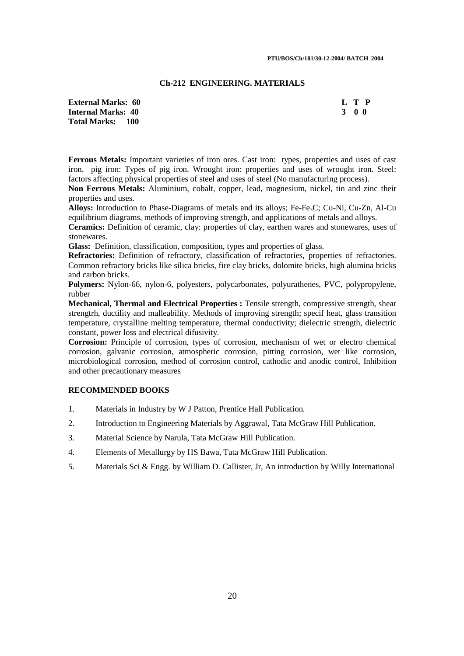#### **Ch-212 ENGINEERING. MATERIALS**

**External Marks: 60 L T P Internal Marks: 40 3 0 0 Total Marks: 100** 

**Ferrous Metals:** Important varieties of iron ores. Cast iron: types, properties and uses of cast iron. pig iron: Types of pig iron. Wrought iron: properties and uses of wrought iron. Steel: factors affecting physical properties of steel and uses of steel (No manufacturing process).

**Non Ferrous Metals:** Aluminium, cobalt, copper, lead, magnesium, nickel, tin and zinc their properties and uses.

Alloys: Introduction to Phase-Diagrams of metals and its alloys; Fe-Fe<sub>3</sub>C; Cu-Ni, Cu-Zn, Al-Cu equilibrium diagrams, methods of improving strength, and applications of metals and alloys.

**Ceramics:** Definition of ceramic, clay: properties of clay, earthen wares and stonewares, uses of stonewares.

**Glass:** Definition, classification, composition, types and properties of glass.

**Refractories:** Definition of refractory, classification of refractories, properties of refractories. Common refractory bricks like silica bricks, fire clay bricks, dolomite bricks, high alumina bricks and carbon bricks.

**Polymers:** Nylon-66, nylon-6, polyesters, polycarbonates, polyurathenes, PVC, polypropylene, rubber

**Mechanical, Thermal and Electrical Properties :** Tensile strength, compressive strength, shear strengtrh, ductility and malleability. Methods of improving strength; specif heat, glass transition temperature, crystalline melting temperature, thermal conductivity; dielectric strength, dielectric constant, power loss and electrical difusivity.

**Corrosion:** Principle of corrosion, types of corrosion, mechanism of wet or electro chemical corrosion, galvanic corrosion, atmospheric corrosion, pitting corrosion, wet like corrosion, microbiological corrosion, method of corrosion control, cathodic and anodic control, Inhibition and other precautionary measures

## **RECOMMENDED BOOKS**

- 1. Materials in Industry by W J Patton, Prentice Hall Publication.
- 2. Introduction to Engineering Materials by Aggrawal, Tata McGraw Hill Publication.
- 3. Material Science by Narula, Tata McGraw Hill Publication.
- 4. Elements of Metallurgy by HS Bawa, Tata McGraw Hill Publication.
- 5. Materials Sci & Engg. by William D. Callister, Jr, An introduction by Willy International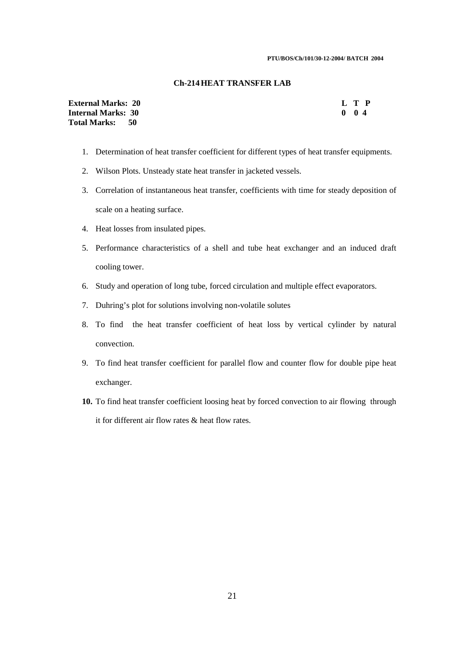#### **PTU/BOS/Ch/101/30-12-2004/ BATCH 2004**

#### **Ch-214 HEAT TRANSFER LAB**

| <b>External Marks: 20</b> |  | L T P     |  |
|---------------------------|--|-----------|--|
| <b>Internal Marks: 30</b> |  | $0 \t 04$ |  |
| Total Marks: 50           |  |           |  |

- 1. Determination of heat transfer coefficient for different types of heat transfer equipments.
- 2. Wilson Plots. Unsteady state heat transfer in jacketed vessels.
- 3. Correlation of instantaneous heat transfer, coefficients with time for steady deposition of scale on a heating surface.
- 4. Heat losses from insulated pipes.
- 5. Performance characteristics of a shell and tube heat exchanger and an induced draft cooling tower.
- 6. Study and operation of long tube, forced circulation and multiple effect evaporators.
- 7. Duhring's plot for solutions involving non-volatile solutes
- 8. To find the heat transfer coefficient of heat loss by vertical cylinder by natural convection.
- 9. To find heat transfer coefficient for parallel flow and counter flow for double pipe heat exchanger.
- **10.** To find heat transfer coefficient loosing heat by forced convection to air flowing through it for different air flow rates & heat flow rates.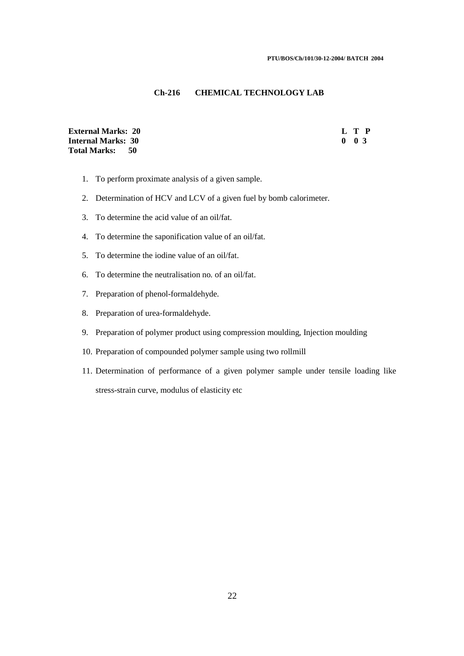## **Ch-216 CHEMICAL TECHNOLOGY LAB**

**External Marks: 20 L T P Internal Marks: 30 Total Marks: 50** 

- 1. To perform proximate analysis of a given sample.
- 2. Determination of HCV and LCV of a given fuel by bomb calorimeter.
- 3. To determine the acid value of an oil/fat.
- 4. To determine the saponification value of an oil/fat.
- 5. To determine the iodine value of an oil/fat.
- 6. To determine the neutralisation no. of an oil/fat.
- 7. Preparation of phenol-formaldehyde.
- 8. Preparation of urea-formaldehyde.
- 9. Preparation of polymer product using compression moulding, Injection moulding
- 10. Preparation of compounded polymer sample using two rollmill
- 11. Determination of performance of a given polymer sample under tensile loading like stress-strain curve, modulus of elasticity etc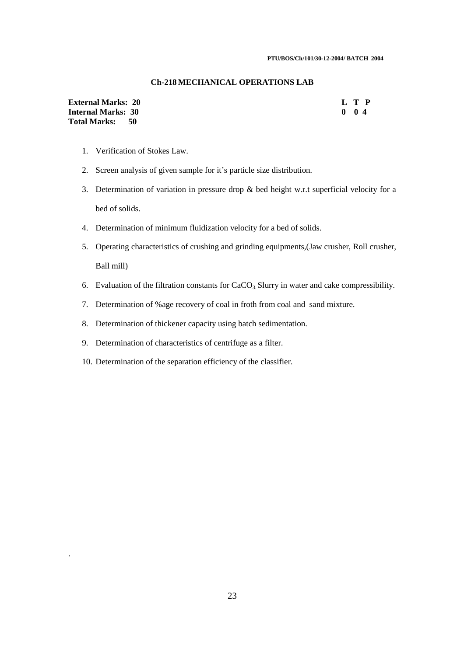## **Ch-218 MECHANICAL OPERATIONS LAB**

| <b>External Marks: 20</b> | L T P    |  |
|---------------------------|----------|--|
| <b>Internal Marks: 30</b> | $0 \t04$ |  |
| Total Marks: 50           |          |  |

1. Verification of Stokes Law.

.

- 2. Screen analysis of given sample for it's particle size distribution.
- 3. Determination of variation in pressure drop & bed height w.r.t superficial velocity for a bed of solids.
- 4. Determination of minimum fluidization velocity for a bed of solids.
- 5. Operating characteristics of crushing and grinding equipments,(Jaw crusher, Roll crusher, Ball mill)
- 6. Evaluation of the filtration constants for  $CaCO<sub>3</sub>$  Slurry in water and cake compressibility.
- 7. Determination of %age recovery of coal in froth from coal and sand mixture.
- 8. Determination of thickener capacity using batch sedimentation.
- 9. Determination of characteristics of centrifuge as a filter.
- 10. Determination of the separation efficiency of the classifier.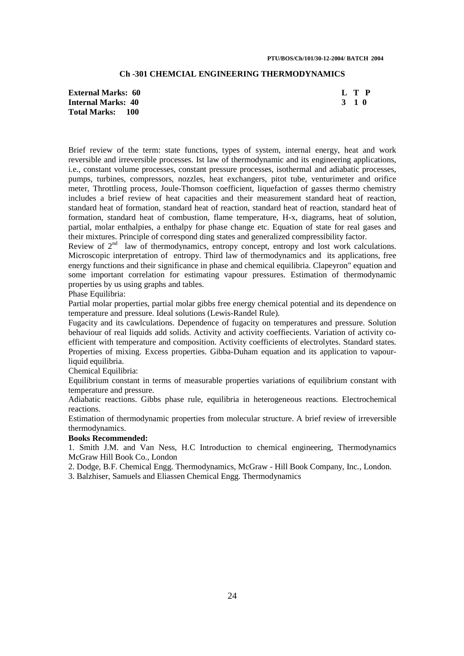## **Ch -301 CHEMCIAL ENGINEERING THERMODYNAMICS**

**External Marks: 60** L T P<br> **Internal Marks: 40** 3 1 0 **Internal Marks: 40 Total Marks: 100** 

Brief review of the term: state functions, types of system, internal energy, heat and work reversible and irreversible processes. Ist law of thermodynamic and its engineering applications, i.e., constant volume processes, constant pressure processes, isothermal and adiabatic processes, pumps, turbines, compressors, nozzles, heat exchangers, pitot tube, venturimeter and orifice meter, Throttling process, Joule-Thomson coefficient, liquefaction of gasses thermo chemistry includes a brief review of heat capacities and their measurement standard heat of reaction, standard heat of formation, standard heat of reaction, standard heat of reaction, standard heat of formation, standard heat of combustion, flame temperature, H-x, diagrams, heat of solution, partial, molar enthalpies, a enthalpy for phase change etc. Equation of state for real gases and their mixtures. Principle of correspond ding states and generalized compressibility factor.

Review of 2<sup>nd</sup> law of thermodynamics, entropy concept, entropy and lost work calculations. Microscopic interpretation of entropy. Third law of thermodynamics and its applications, free energy functions and their significance in phase and chemical equilibria. Clapeyron" equation and some important correlation for estimating vapour pressures. Estimation of thermodynamic properties by us using graphs and tables.

Phase Equilibria:

Partial molar properties, partial molar gibbs free energy chemical potential and its dependence on temperature and pressure. Ideal solutions (Lewis-Randel Rule).

Fugacity and its cawlculations. Dependence of fugacity on temperatures and pressure. Solution behaviour of real liquids add solids. Activity and activity coeffiecients. Variation of activity coefficient with temperature and composition. Activity coefficients of electrolytes. Standard states. Properties of mixing. Excess properties. Gibba-Duham equation and its application to vapourliquid equilibria.

Chemical Equilibria:

Equilibrium constant in terms of measurable properties variations of equilibrium constant with temperature and pressure.

Adiabatic reactions. Gibbs phase rule, equilibria in heterogeneous reactions. Electrochemical reactions.

Estimation of thermodynamic properties from molecular structure. A brief review of irreversible thermodynamics.

#### **Books Recommended:**

1. Smith J.M. and Van Ness, H.C Introduction to chemical engineering, Thermodynamics McGraw Hill Book Co., London

2. Dodge, B.F. Chemical Engg. Thermodynamics, McGraw - Hill Book Company, Inc., London.

3. Balzhiser, Samuels and Eliassen Chemical Engg. Thermodynamics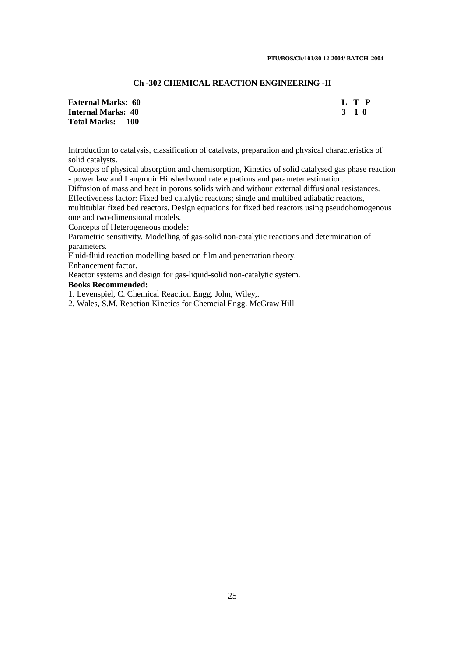## **Ch -302 CHEMICAL REACTION ENGINEERING -II**

| <b>External Marks: 60</b> | L T P |  |
|---------------------------|-------|--|
| Internal Marks: 40        | 3 1 O |  |
| <b>Total Marks: 100</b>   |       |  |

Introduction to catalysis, classification of catalysts, preparation and physical characteristics of solid catalysts.

Concepts of physical absorption and chemisorption, Kinetics of solid catalysed gas phase reaction - power law and Langmuir Hinsherlwood rate equations and parameter estimation.

Diffusion of mass and heat in porous solids with and withour external diffusional resistances. Effectiveness factor: Fixed bed catalytic reactors; single and multibed adiabatic reactors,

multitublar fixed bed reactors. Design equations for fixed bed reactors using pseudohomogenous one and two-dimensional models.

Concepts of Heterogeneous models:

Parametric sensitivity. Modelling of gas-solid non-catalytic reactions and determination of parameters.

Fluid-fluid reaction modelling based on film and penetration theory.

Enhancement factor.

Reactor systems and design for gas-liquid-solid non-catalytic system.

## **Books Recommended:**

1. Levenspiel, C. Chemical Reaction Engg. John, Wiley,.

2. Wales, S.M. Reaction Kinetics for Chemcial Engg. McGraw Hill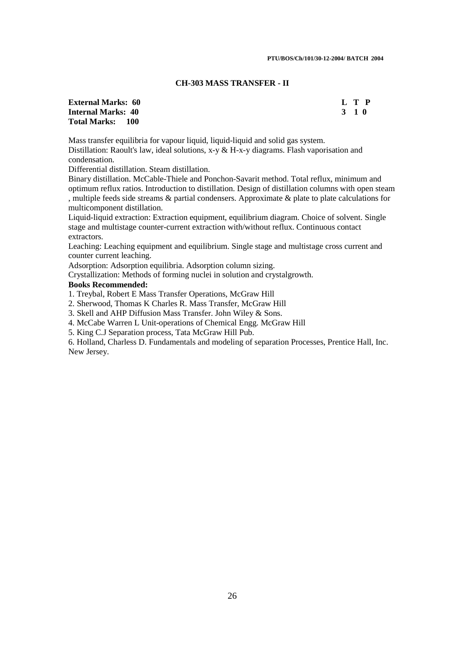#### **CH-303 MASS TRANSFER - II**

**External Marks: 60 L T P Internal Marks: 40 3 1 0 3 2 3 4 4 5 6 7 7 8 7 7 8 7 7 8 7 7 8 7 8 7 8 7 7 8 7 8 7 8 7 8 7 8 7 8 7 8 7 8 7 8 7 8 7 8 7 8 7 8 7 8 7 8 7 8 7 8 7 8 7 8 7 8 7 8 7 8 7 8 7 8 7 8 7 8 7 8 7 8 7 8 7 8 7 8 7 8 7 8 7 8 7 8 7 8 7 8 Total Marks: 100** 

Mass transfer equilibria for vapour liquid, liquid-liquid and solid gas system. Distillation: Raoult's law, ideal solutions, x-y & H-x-y diagrams. Flash vaporisation and condensation.

Differential distillation. Steam distillation.

Binary distillation. McCable-Thiele and Ponchon-Savarit method. Total reflux, minimum and optimum reflux ratios. Introduction to distillation. Design of distillation columns with open steam , multiple feeds side streams & partial condensers. Approximate & plate to plate calculations for multicomponent distillation.

Liquid-liquid extraction: Extraction equipment, equilibrium diagram. Choice of solvent. Single stage and multistage counter-current extraction with/without reflux. Continuous contact extractors.

Leaching: Leaching equipment and equilibrium. Single stage and multistage cross current and counter current leaching.

Adsorption: Adsorption equilibria. Adsorption column sizing.

Crystallization: Methods of forming nuclei in solution and crystalgrowth.

## **Books Recommended:**

1. Treybal, Robert E Mass Transfer Operations, McGraw Hill

2. Sherwood, Thomas K Charles R. Mass Transfer, McGraw Hill

3. Skell and AHP Diffusion Mass Transfer. John Wiley & Sons.

4. McCabe Warren L Unit-operations of Chemical Engg. McGraw Hill

5. King C.J Separation process, Tata McGraw Hill Pub.

6. Holland, Charless D. Fundamentals and modeling of separation Processes, Prentice Hall, Inc. New Jersey.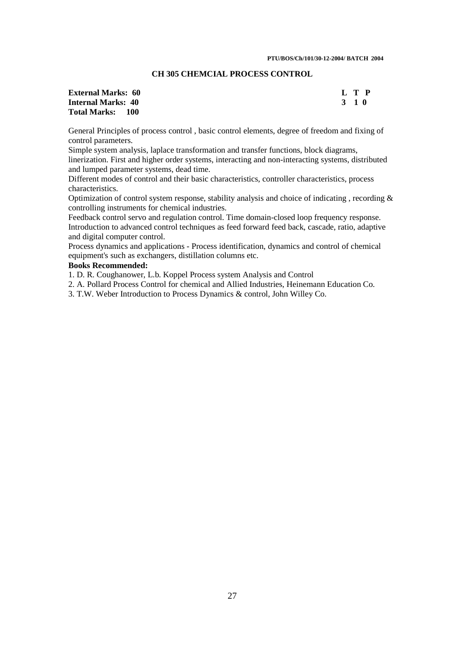## **CH 305 CHEMCIAL PROCESS CONTROL**

## **Internal Marks: 40 Total Marks: 100**

**External Marks: 60** L T P<br> **Internal Marks: 40** 3 1 0

General Principles of process control , basic control elements, degree of freedom and fixing of control parameters.

Simple system analysis, laplace transformation and transfer functions, block diagrams, linerization. First and higher order systems, interacting and non-interacting systems, distributed and lumped parameter systems, dead time.

Different modes of control and their basic characteristics, controller characteristics, process characteristics.

Optimization of control system response, stability analysis and choice of indicating , recording & controlling instruments for chemical industries.

Feedback control servo and regulation control. Time domain-closed loop frequency response. Introduction to advanced control techniques as feed forward feed back, cascade, ratio, adaptive and digital computer control.

Process dynamics and applications - Process identification, dynamics and control of chemical equipment's such as exchangers, distillation columns etc.

## **Books Recommended:**

1. D. R. Coughanower, L.b. Koppel Process system Analysis and Control

2. A. Pollard Process Control for chemical and Allied Industries, Heinemann Education Co.

3. T.W. Weber Introduction to Process Dynamics & control, John Willey Co.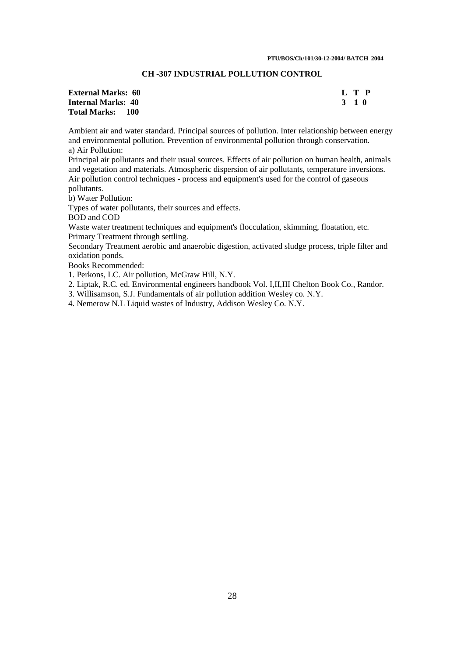## **CH -307 INDUSTRIAL POLLUTION CONTROL**

## **External Marks: 60** L T P<br> **Internal Marks: 40** 3 1 0 **Internal Marks: 40 Total Marks: 100**

Ambient air and water standard. Principal sources of pollution. Inter relationship between energy and environmental pollution. Prevention of environmental pollution through conservation. a) Air Pollution:

Principal air pollutants and their usual sources. Effects of air pollution on human health, animals and vegetation and materials. Atmospheric dispersion of air pollutants, temperature inversions. Air pollution control techniques - process and equipment's used for the control of gaseous pollutants.

b) Water Pollution:

Types of water pollutants, their sources and effects.

BOD and COD

Waste water treatment techniques and equipment's flocculation, skimming, floatation, etc. Primary Treatment through settling.

Secondary Treatment aerobic and anaerobic digestion, activated sludge process, triple filter and oxidation ponds.

Books Recommended:

1. Perkons, LC. Air pollution, McGraw Hill, N.Y.

2. Liptak, R.C. ed. Environmental engineers handbook Vol. I,II,III Chelton Book Co., Randor.

3. Willisamson, S.J. Fundamentals of air pollution addition Wesley co. N.Y.

4. Nemerow N.L Liquid wastes of Industry, Addison Wesley Co. N.Y.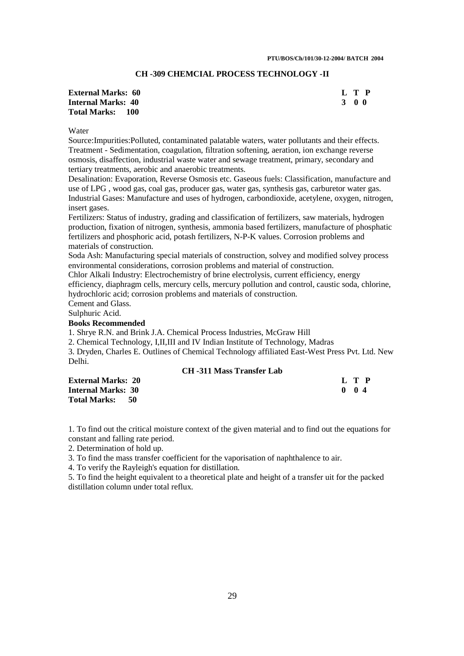## **CH -309 CHEMCIAL PROCESS TECHNOLOGY -II**

| <b>External Marks: 60</b> | L T P |  |
|---------------------------|-------|--|
| <b>Internal Marks: 40</b> | 3 O O |  |
| <b>Total Marks: 100</b>   |       |  |

#### Water

Source:Impurities:Polluted, contaminated palatable waters, water pollutants and their effects. Treatment - Sedimentation, coagulation, filtration softening, aeration, ion exchange reverse osmosis, disaffection, industrial waste water and sewage treatment, primary, secondary and tertiary treatments, aerobic and anaerobic treatments.

Desalination: Evaporation, Reverse Osmosis etc. Gaseous fuels: Classification, manufacture and use of LPG , wood gas, coal gas, producer gas, water gas, synthesis gas, carburetor water gas. Industrial Gases: Manufacture and uses of hydrogen, carbondioxide, acetylene, oxygen, nitrogen, insert gases.

Fertilizers: Status of industry, grading and classification of fertilizers, saw materials, hydrogen production, fixation of nitrogen, synthesis, ammonia based fertilizers, manufacture of phosphatic fertilizers and phosphoric acid, potash fertilizers, N-P-K values. Corrosion problems and materials of construction.

Soda Ash: Manufacturing special materials of construction, solvey and modified solvey process environmental considerations, corrosion problems and material of construction.

Chlor Alkali Industry: Electrochemistry of brine electrolysis, current efficiency, energy efficiency, diaphragm cells, mercury cells, mercury pollution and control, caustic soda, chlorine, hydrochloric acid; corrosion problems and materials of construction.

Cement and Glass.

Sulphuric Acid.

## **Books Recommended**

1. Shrye R.N. and Brink J.A. Chemical Process Industries, McGraw Hill

2. Chemical Technology, I,II,III and IV Indian Institute of Technology, Madras

3. Dryden, Charles E. Outlines of Chemical Technology affiliated East-West Press Pvt. Ltd. New Delhi.

#### **CH -311 Mass Transfer Lab**

| <b>External Marks: 20</b>   | L T P         |
|-----------------------------|---------------|
| <b>Internal Marks: 30</b>   | $0 \t 0 \t 4$ |
| <b>Total Marks:</b><br>- 50 |               |

1. To find out the critical moisture context of the given material and to find out the equations for constant and falling rate period.

2. Determination of hold up.

3. To find the mass transfer coefficient for the vaporisation of naphthalence to air.

4. To verify the Rayleigh's equation for distillation.

5. To find the height equivalent to a theoretical plate and height of a transfer uit for the packed distillation column under total reflux.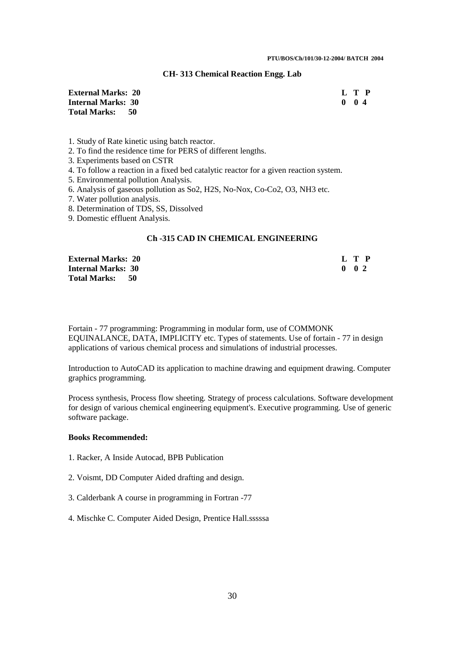## **CH- 313 Chemical Reaction Engg. Lab**

| <b>External Marks: 20</b> |  | L T P         |  |
|---------------------------|--|---------------|--|
| <b>Internal Marks: 30</b> |  | $0 \t 0 \t 4$ |  |
| Total Marks: 50           |  |               |  |

1. Study of Rate kinetic using batch reactor.

- 2. To find the residence time for PERS of different lengths.
- 3. Experiments based on CSTR
- 4. To follow a reaction in a fixed bed catalytic reactor for a given reaction system.
- 5. Environmental pollution Analysis.
- 6. Analysis of gaseous pollution as So2, H2S, No-Nox, Co-Co2, O3, NH3 etc.

7. Water pollution analysis.

8. Determination of TDS, SS, Dissolved

9. Domestic effluent Analysis.

#### **Ch -315 CAD IN CHEMICAL ENGINEERING**

| <b>External Marks: 20</b> | L T P               |
|---------------------------|---------------------|
| <b>Internal Marks: 30</b> | $0 \quad 0 \quad 2$ |
| <b>Total Marks: 50</b>    |                     |

Fortain - 77 programming: Programming in modular form, use of COMMONK EQUINALANCE, DATA, IMPLICITY etc. Types of statements. Use of fortain - 77 in design applications of various chemical process and simulations of industrial processes.

Introduction to AutoCAD its application to machine drawing and equipment drawing. Computer graphics programming.

Process synthesis, Process flow sheeting. Strategy of process calculations. Software development for design of various chemical engineering equipment's. Executive programming. Use of generic software package.

#### **Books Recommended:**

- 1. Racker, A Inside Autocad, BPB Publication
- 2. Voismt, DD Computer Aided drafting and design.
- 3. Calderbank A course in programming in Fortran -77
- 4. Mischke C. Computer Aided Design, Prentice Hall.sssssa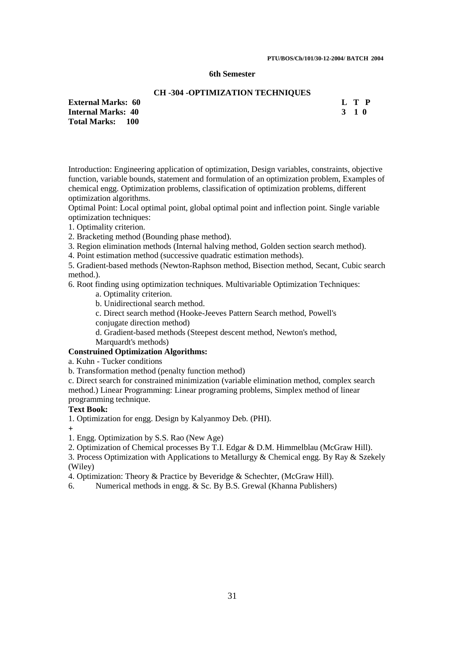**PTU/BOS/Ch/101/30-12-2004/ BATCH 2004** 

## **6th Semester**

## **CH -304 -OPTIMIZATION TECHNIQUES**

| <b>External Marks: 60</b> | L T P |
|---------------------------|-------|
| Internal Marks: 40        | 3 1 O |
| <b>Total Marks: 100</b>   |       |

Introduction: Engineering application of optimization, Design variables, constraints, objective function, variable bounds, statement and formulation of an optimization problem, Examples of chemical engg. Optimization problems, classification of optimization problems, different optimization algorithms.

Optimal Point: Local optimal point, global optimal point and inflection point. Single variable optimization techniques:

1. Optimality criterion.

2. Bracketing method (Bounding phase method).

3. Region elimination methods (Internal halving method, Golden section search method).

4. Point estimation method (successive quadratic estimation methods).

5. Gradient-based methods (Newton-Raphson method, Bisection method, Secant, Cubic search method.).

6. Root finding using optimization techniques. Multivariable Optimization Techniques:

a. Optimality criterion.

b. Unidirectional search method.

c. Direct search method (Hooke-Jeeves Pattern Search method, Powell's conjugate direction method)

d. Gradient-based methods (Steepest descent method, Newton's method,

Marquardt's methods)

## **Construined Optimization Algorithms:**

a. Kuhn - Tucker conditions

b. Transformation method (penalty function method)

c. Direct search for constrained minimization (variable elimination method, complex search method.) Linear Programming: Linear programing problems, Simplex method of linear programming technique.

## **Text Book:**

1. Optimization for engg. Design by Kalyanmoy Deb. (PHI).

**+**

1. Engg. Optimization by S.S. Rao (New Age)

2. Optimization of Chemical processes By T.I. Edgar & D.M. Himmelblau (McGraw Hill).

3. Process Optimization with Applications to Metallurgy & Chemical engg. By Ray & Szekely (Wiley)

4. Optimization: Theory & Practice by Beveridge & Schechter, (McGraw Hill).

6. Numerical methods in engg. & Sc. By B.S. Grewal (Khanna Publishers)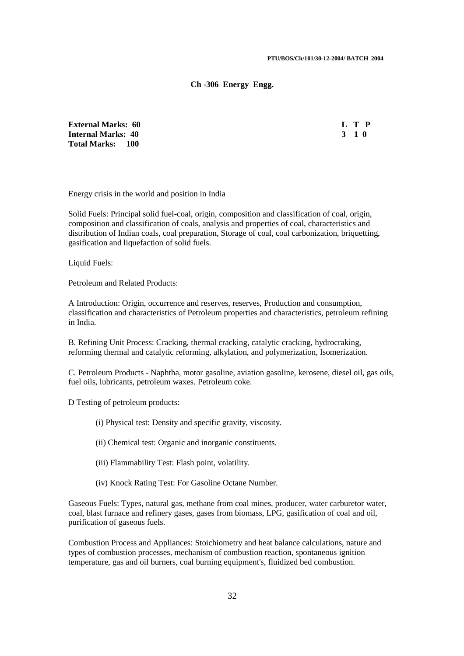#### **Ch -306 Energy Engg.**

**External Marks: 60 Internal Marks: 40 Total Marks: 100** 

| Н |   |
|---|---|
|   | " |

Energy crisis in the world and position in India

Solid Fuels: Principal solid fuel-coal, origin, composition and classification of coal, origin, composition and classification of coals, analysis and properties of coal, characteristics and distribution of Indian coals, coal preparation, Storage of coal, coal carbonization, briquetting, gasification and liquefaction of solid fuels.

Liquid Fuels:

Petroleum and Related Products:

A Introduction: Origin, occurrence and reserves, reserves, Production and consumption, classification and characteristics of Petroleum properties and characteristics, petroleum refining in India.

B. Refining Unit Process: Cracking, thermal cracking, catalytic cracking, hydrocraking, reforming thermal and catalytic reforming, alkylation, and polymerization, Isomerization.

C. Petroleum Products - Naphtha, motor gasoline, aviation gasoline, kerosene, diesel oil, gas oils, fuel oils, lubricants, petroleum waxes. Petroleum coke.

D Testing of petroleum products:

- (i) Physical test: Density and specific gravity, viscosity.
- (ii) Chemical test: Organic and inorganic constituents.
- (iii) Flammability Test: Flash point, volatility.
- (iv) Knock Rating Test: For Gasoline Octane Number.

Gaseous Fuels: Types, natural gas, methane from coal mines, producer, water carburetor water, coal, blast furnace and refinery gases, gases from biomass, LPG, gasification of coal and oil, purification of gaseous fuels.

Combustion Process and Appliances: Stoichiometry and heat balance calculations, nature and types of combustion processes, mechanism of combustion reaction, spontaneous ignition temperature, gas and oil burners, coal burning equipment's, fluidized bed combustion.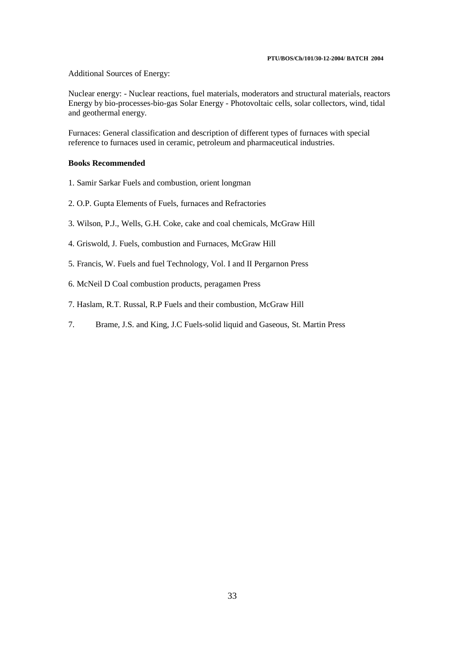#### **PTU/BOS/Ch/101/30-12-2004/ BATCH 2004**

Additional Sources of Energy:

Nuclear energy: - Nuclear reactions, fuel materials, moderators and structural materials, reactors Energy by bio-processes-bio-gas Solar Energy - Photovoltaic cells, solar collectors, wind, tidal and geothermal energy.

Furnaces: General classification and description of different types of furnaces with special reference to furnaces used in ceramic, petroleum and pharmaceutical industries.

## **Books Recommended**

- 1. Samir Sarkar Fuels and combustion, orient longman
- 2. O.P. Gupta Elements of Fuels, furnaces and Refractories
- 3. Wilson, P.J., Wells, G.H. Coke, cake and coal chemicals, McGraw Hill
- 4. Griswold, J. Fuels, combustion and Furnaces, McGraw Hill
- 5. Francis, W. Fuels and fuel Technology, Vol. I and II Pergarnon Press
- 6. McNeil D Coal combustion products, peragamen Press
- 7. Haslam, R.T. Russal, R.P Fuels and their combustion, McGraw Hill
- 7. Brame, J.S. and King, J.C Fuels-solid liquid and Gaseous, St. Martin Press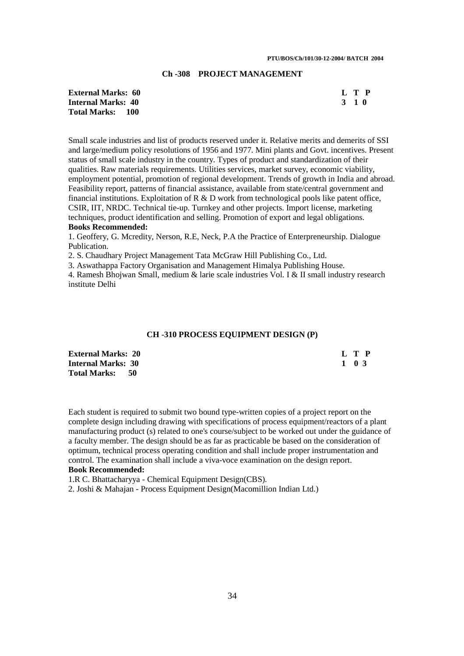#### **PTU/BOS/Ch/101/30-12-2004/ BATCH 2004**

## **Ch -308 PROJECT MANAGEMENT**

| <b>External Marks: 60</b> | L T P |  |
|---------------------------|-------|--|
| <b>Internal Marks: 40</b> | 3 1 0 |  |
| <b>Total Marks: 100</b>   |       |  |

Small scale industries and list of products reserved under it. Relative merits and demerits of SSI and large/medium policy resolutions of 1956 and 1977. Mini plants and Govt. incentives. Present status of small scale industry in the country. Types of product and standardization of their qualities. Raw materials requirements. Utilities services, market survey, economic viability, employment potential, promotion of regional development. Trends of growth in India and abroad. Feasibility report, patterns of financial assistance, available from state/central government and financial institutions. Exploitation of  $R \& D$  work from technological pools like patent office, CSIR, IIT, NRDC. Technical tie-up. Turnkey and other projects. Import license, marketing techniques, product identification and selling. Promotion of export and legal obligations. **Books Recommended:** 

1. Geoffery, G. Mcredity, Nerson, R.E, Neck, P.A the Practice of Enterpreneurship. Dialogue Publication.

2. S. Chaudhary Project Management Tata McGraw Hill Publishing Co., Ltd.

3. Aswathappa Factory Organisation and Management Himalya Publishing House.

4. Ramesh Bhojwan Small, medium & larie scale industries Vol. I & II small industry research institute Delhi

#### **CH -310 PROCESS EQUIPMENT DESIGN (P)**

| <b>External Marks: 20</b> | L T P |  |
|---------------------------|-------|--|
| <b>Internal Marks: 30</b> | 1 0 3 |  |
| Total Marks: 50           |       |  |

Each student is required to submit two bound type-written copies of a project report on the complete design including drawing with specifications of process equipment/reactors of a plant manufacturing product (s) related to one's course/subject to be worked out under the guidance of a faculty member. The design should be as far as practicable be based on the consideration of optimum, technical process operating condition and shall include proper instrumentation and control. The examination shall include a viva-voce examination on the design report. **Book Recommended:**

1.R C. Bhattacharyya - Chemical Equipment Design(CBS).

2. Joshi & Mahajan - Process Equipment Design(Macomillion Indian Ltd.)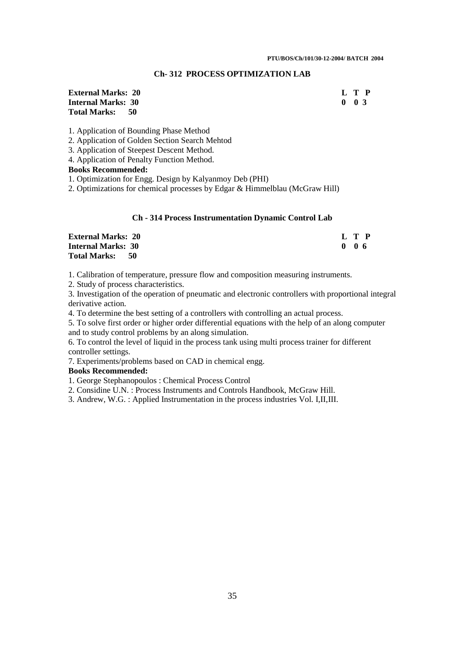## **Ch- 312 PROCESS OPTIMIZATION LAB**

## **External Marks: 20 L T P Internal Marks: 30 Total Marks: 50**

1. Application of Bounding Phase Method

2. Application of Golden Section Search Mehtod

3. Application of Steepest Descent Method.

4. Application of Penalty Function Method.

## **Books Recommended:**

1. Optimization for Engg. Design by Kalyanmoy Deb (PHI)

2. Optimizations for chemical processes by Edgar & Himmelblau (McGraw Hill)

## **Ch - 314 Process Instrumentation Dynamic Control Lab**

| <b>External Marks: 20</b> | L T P |
|---------------------------|-------|
| <b>Internal Marks: 30</b> | 006   |
| Total Marks: 50           |       |

1. Calibration of temperature, pressure flow and composition measuring instruments.

2. Study of process characteristics.

3. Investigation of the operation of pneumatic and electronic controllers with proportional integral derivative action.

4. To determine the best setting of a controllers with controlling an actual process.

5. To solve first order or higher order differential equations with the help of an along computer and to study control problems by an along simulation.

6. To control the level of liquid in the process tank using multi process trainer for different controller settings.

7. Experiments/problems based on CAD in chemical engg.

## **Books Recommended:**

1. George Stephanopoulos : Chemical Process Control

2. Considine U.N. : Process Instruments and Controls Handbook, McGraw Hill.

3. Andrew, W.G. : Applied Instrumentation in the process industries Vol. I,II,III.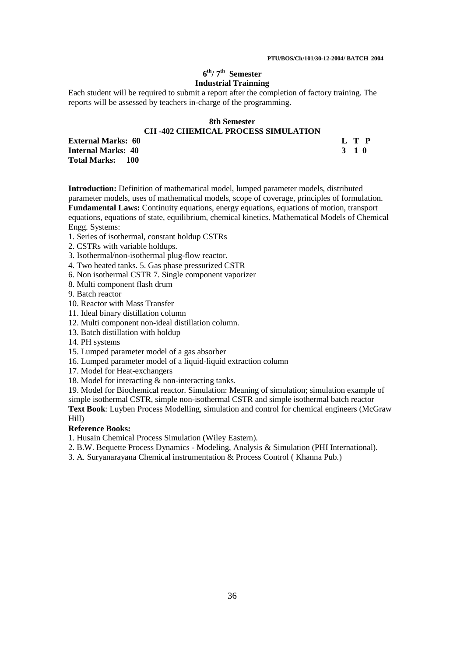## **6 th/ 7th Semester Industrial Trainning**

Each student will be required to submit a report after the completion of factory training. The reports will be assessed by teachers in-charge of the programming.

## **8th Semester CH -402 CHEMICAL PROCESS SIMULATION**

**External Marks: 60** L T P<br> **Internal Marks: 40** 3 1 0 **Internal Marks: 40 Total Marks: 100** 

**Introduction:** Definition of mathematical model, lumped parameter models, distributed parameter models, uses of mathematical models, scope of coverage, principles of formulation. **Fundamental Laws:** Continuity equations, energy equations, equations of motion, transport equations, equations of state, equilibrium, chemical kinetics. Mathematical Models of Chemical Engg. Systems:

- 1. Series of isothermal, constant holdup CSTRs
- 2. CSTRs with variable holdups.
- 3. Isothermal/non-isothermal plug-flow reactor.
- 4. Two heated tanks. 5. Gas phase pressurized CSTR
- 6. Non isothermal CSTR 7. Single component vaporizer
- 8. Multi component flash drum
- 9. Batch reactor
- 10. Reactor with Mass Transfer
- 11. Ideal binary distillation column
- 12. Multi component non-ideal distillation column.
- 13. Batch distillation with holdup
- 14. PH systems
- 15. Lumped parameter model of a gas absorber
- 16. Lumped parameter model of a liquid-liquid extraction column
- 17. Model for Heat-exchangers
- 18. Model for interacting & non-interacting tanks.

19. Model for Biochemical reactor. Simulation: Meaning of simulation; simulation example of simple isothermal CSTR, simple non-isothermal CSTR and simple isothermal batch reactor

**Text Book**: Luyben Process Modelling, simulation and control for chemical engineers (McGraw Hill)

## **Reference Books:**

1. Husain Chemical Process Simulation (Wiley Eastern).

- 2. B.W. Bequette Process Dynamics Modeling, Analysis & Simulation (PHI International).
- 3. A. Suryanarayana Chemical instrumentation & Process Control ( Khanna Pub.)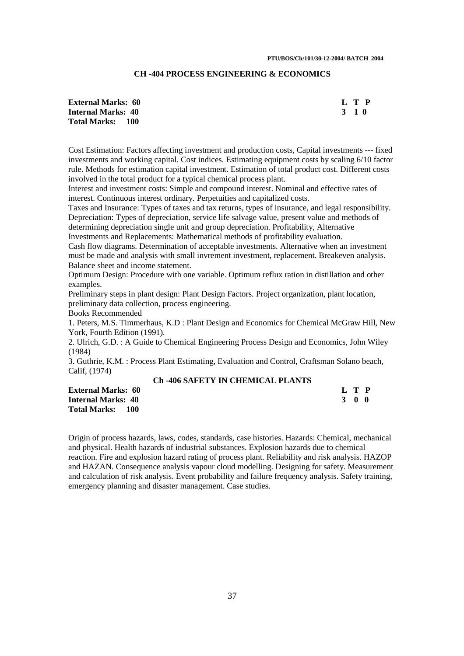## **CH -404 PROCESS ENGINEERING & ECONOMICS**

| <b>External Marks: 60</b> | L T P |
|---------------------------|-------|
| <b>Internal Marks: 40</b> | 3 1 0 |
| <b>Total Marks: 100</b>   |       |

Cost Estimation: Factors affecting investment and production costs, Capital investments --- fixed investments and working capital. Cost indices. Estimating equipment costs by scaling 6/10 factor rule. Methods for estimation capital investment. Estimation of total product cost. Different costs involved in the total product for a typical chemical process plant.

Interest and investment costs: Simple and compound interest. Nominal and effective rates of interest. Continuous interest ordinary. Perpetuities and capitalized costs.

Taxes and Insurance: Types of taxes and tax returns, types of insurance, and legal responsibility. Depreciation: Types of depreciation, service life salvage value, present value and methods of determining depreciation single unit and group depreciation. Profitability, Alternative Investments and Replacements: Mathematical methods of profitability evaluation.

Cash flow diagrams. Determination of acceptable investments. Alternative when an investment must be made and analysis with small invrement investment, replacement. Breakeven analysis. Balance sheet and income statement.

Optimum Design: Procedure with one variable. Optimum reflux ration in distillation and other examples.

Preliminary steps in plant design: Plant Design Factors. Project organization, plant location, preliminary data collection, process engineering.

Books Recommended

1. Peters, M.S. Timmerhaus, K.D : Plant Design and Economics for Chemical McGraw Hill, New York, Fourth Edition (1991).

2. Ulrich, G.D. : A Guide to Chemical Engineering Process Design and Economics, John Wiley (1984)

3. Guthrie, K.M. : Process Plant Estimating, Evaluation and Control, Craftsman Solano beach, Calif, (1974)

## **Ch -406 SAFETY IN CHEMICAL PLANTS**

**External Marks: 60 Internal Marks: 40 Total Marks: 100** 

| $\mathbf I$ | T | P            |
|-------------|---|--------------|
| з           | O | $\mathbf{0}$ |

Origin of process hazards, laws, codes, standards, case histories. Hazards: Chemical, mechanical and physical. Health hazards of industrial substances. Explosion hazards due to chemical reaction. Fire and explosion hazard rating of process plant. Reliability and risk analysis. HAZOP and HAZAN. Consequence analysis vapour cloud modelling. Designing for safety. Measurement and calculation of risk analysis. Event probability and failure frequency analysis. Safety training, emergency planning and disaster management. Case studies.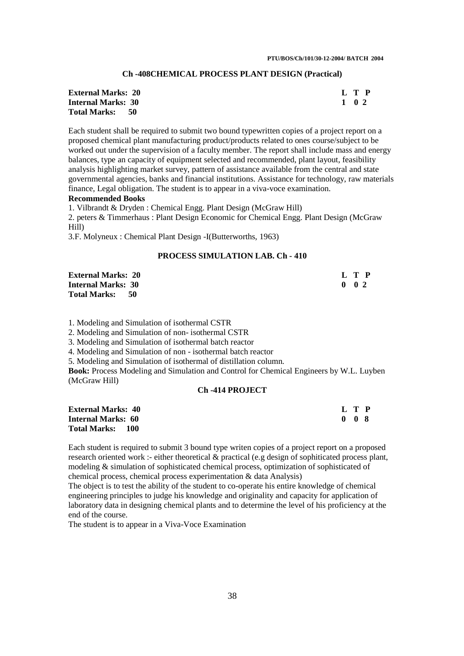#### **Ch -408CHEMICAL PROCESS PLANT DESIGN (Practical)**

| <b>External Marks: 20</b> |      |       | L T P |
|---------------------------|------|-------|-------|
| <b>Internal Marks: 30</b> |      | 1 0 2 |       |
| <b>Total Marks:</b>       | - 50 |       |       |

Each student shall be required to submit two bound typewritten copies of a project report on a proposed chemical plant manufacturing product/products related to ones course/subject to be worked out under the supervision of a faculty member. The report shall include mass and energy balances, type an capacity of equipment selected and recommended, plant layout, feasibility analysis highlighting market survey, pattern of assistance available from the central and state governmental agencies, banks and financial institutions. Assistance for technology, raw materials finance, Legal obligation. The student is to appear in a viva-voce examination.

## **Recommended Books**

1. Vilbrandt & Dryden : Chemical Engg. Plant Design (McGraw Hill)

2. peters & Timmerhaus : Plant Design Economic for Chemical Engg. Plant Design (McGraw Hill)

3.F. Molyneux : Chemical Plant Design -I(Butterworths, 1963)

#### **PROCESS SIMULATION LAB. Ch - 410**

| <b>External Marks: 20</b> |  | L T P         |  |
|---------------------------|--|---------------|--|
| <b>Internal Marks: 30</b> |  | $0 \t 0 \t 2$ |  |
| Total Marks: 50           |  |               |  |

1. Modeling and Simulation of isothermal CSTR

2. Modeling and Simulation of non- isothermal CSTR

3. Modeling and Simulation of isothermal batch reactor

4. Modeling and Simulation of non - isothermal batch reactor

5. Modeling and Simulation of isothermal of distillation column.

**Book:** Process Modeling and Simulation and Control for Chemical Engineers by W.L. Luyben (McGraw Hill)

## **Ch -414 PROJECT**

| <b>External Marks: 40</b>         |     | L T P |
|-----------------------------------|-----|-------|
| <b>Internal Marks: 60</b>         | 008 |       |
| <b>Total Marks:</b><br><b>100</b> |     |       |

Each student is required to submit 3 bound type writen copies of a project report on a proposed research oriented work :- either theoretical  $\&$  practical (e.g design of sophiticated process plant, modeling & simulation of sophisticated chemical process, optimization of sophisticated of chemical process, chemical process experimentation & data Analysis)

The object is to test the ability of the student to co-operate his entire knowledge of chemical engineering principles to judge his knowledge and originality and capacity for application of laboratory data in designing chemical plants and to determine the level of his proficiency at the end of the course.

The student is to appear in a Viva-Voce Examination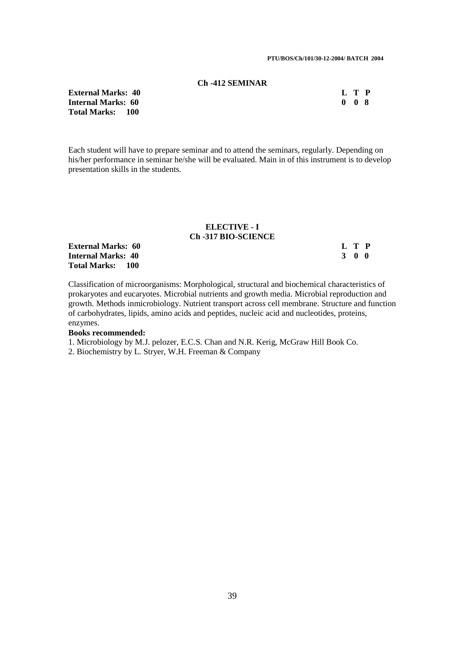#### **Ch -412 SEMINAR**

| <b>External Marks: 40</b> | L T P             |  |
|---------------------------|-------------------|--|
| Internal Marks:  60       | $0\quad 0\quad 8$ |  |
| TRI 1954 1                |                   |  |

**Internal Ma Total Marks: 100** 

Each student will have to prepare seminar and to attend the seminars, regularly. Depending on his/her performance in seminar he/she will be evaluated. Main in of this instrument is to develop presentation skills in the students.

#### **ELECTIVE - I Ch -317 BIO-SCIENCE**

**External Marks: 60 L T P Internal Marks: 40 3 0 0 Total Marks: 100** 

Classification of microorganisms: Morphological, structural and biochemical characteristics of prokaryotes and eucaryotes. Microbial nutrients and growth media. Microbial reproduction and growth. Methods inmicrobiology. Nutrient transport across cell membrane. Structure and function of carbohydrates, lipids, amino acids and peptides, nucleic acid and nucleotides, proteins, enzymes.

## **Books recommended:**

1. Microbiology by M.J. pelozer, E.C.S. Chan and N.R. Kerig, McGraw Hill Book Co.

2. Biochemistry by L. Stryer, W.H. Freeman & Company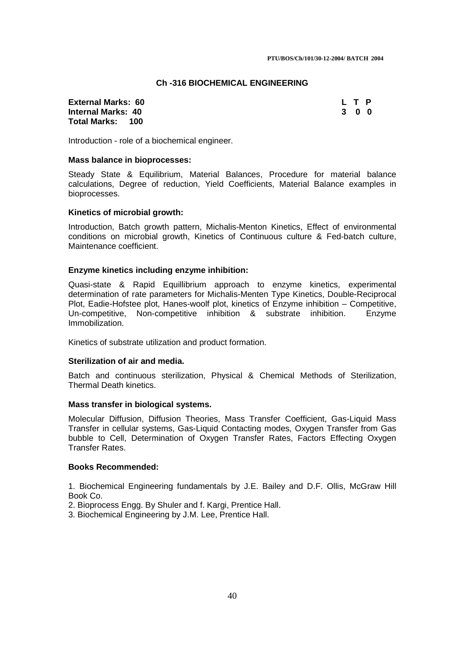## **Ch -316 BIOCHEMICAL ENGINEERING**

## **External Marks: 60 L T P Internal Marks: 40 3 0 0 Total Marks: 100**

Introduction - role of a biochemical engineer.

## **Mass balance in bioprocesses:**

Steady State & Equilibrium, Material Balances, Procedure for material balance calculations, Degree of reduction, Yield Coefficients, Material Balance examples in bioprocesses.

## **Kinetics of microbial growth:**

Introduction, Batch growth pattern, Michalis-Menton Kinetics, Effect of environmental conditions on microbial growth, Kinetics of Continuous culture & Fed-batch culture, Maintenance coefficient.

## **Enzyme kinetics including enzyme inhibition:**

Quasi-state & Rapid Equillibrium approach to enzyme kinetics, experimental determination of rate parameters for Michalis-Menten Type Kinetics, Double-Reciprocal Plot, Eadie-Hofstee plot, Hanes-woolf plot, kinetics of Enzyme inhibition – Competitive, Un-competitive, Non-competitive inhibition & substrate inhibition. Enzyme Immobilization.

Kinetics of substrate utilization and product formation.

#### **Sterilization of air and media.**

Batch and continuous sterilization, Physical & Chemical Methods of Sterilization, Thermal Death kinetics.

## **Mass transfer in biological systems.**

Molecular Diffusion, Diffusion Theories, Mass Transfer Coefficient, Gas-Liquid Mass Transfer in cellular systems, Gas-Liquid Contacting modes, Oxygen Transfer from Gas bubble to Cell, Determination of Oxygen Transfer Rates, Factors Effecting Oxygen Transfer Rates.

#### **Books Recommended:**

1. Biochemical Engineering fundamentals by J.E. Bailey and D.F. Ollis, McGraw Hill Book Co.

2. Bioprocess Engg. By Shuler and f. Kargi, Prentice Hall.

3. Biochemical Engineering by J.M. Lee, Prentice Hall.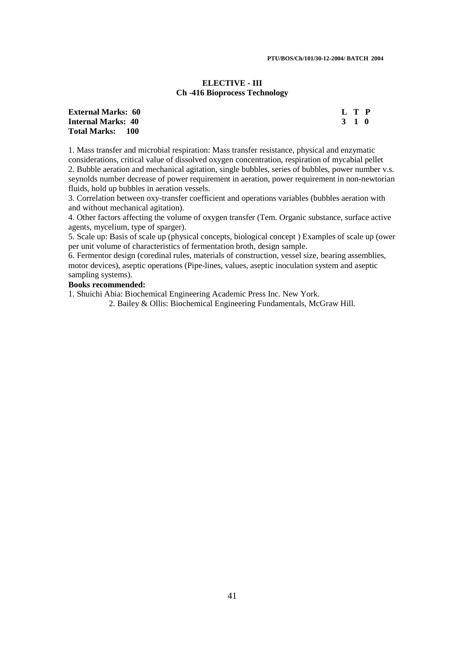## **ELECTIVE - III Ch -416 Bioprocess Technology**

| <b>External Marks:  60</b> | L T P |  |
|----------------------------|-------|--|
| Internal Marks: 40         | 3 1 0 |  |
| Total Marks:     100       |       |  |

1. Mass transfer and microbial respiration: Mass transfer resistance, physical and enzymatic considerations, critical value of dissolved oxygen concentration, respiration of mycabial pellet

2. Bubble aeration and mechanical agitation, single bubbles, series of bubbles, power number v.s. seynolds number decrease of power requirement in aeration, power requirement in non-newtorian fluids, hold up bubbles in aeration vessels.

3. Correlation between oxy-transfer coefficient and operations variables (bubbles aeration with and without mechanical agitation).

4. Other factors affecting the volume of oxygen transfer (Tem. Organic substance, surface active agents, mycelium, type of sparger).

5. Scale up: Basis of scale up (physical concepts, biological concept ) Examples of scale up (ower per unit volume of characteristics of fermentation broth, design sample.

6. Fermentor design (coredinal rules, materials of construction, vessel size, bearing assemblies, motor devices), aseptic operations (Pipe-lines, values, aseptic inoculation system and aseptic sampling systems).

## **Books recommended:**

1. Shuichi Abia: Biochemical Engineering Academic Press Inc. New York.

2. Bailey & Ollis: Biochemical Engineering Fundamentals, McGraw Hill.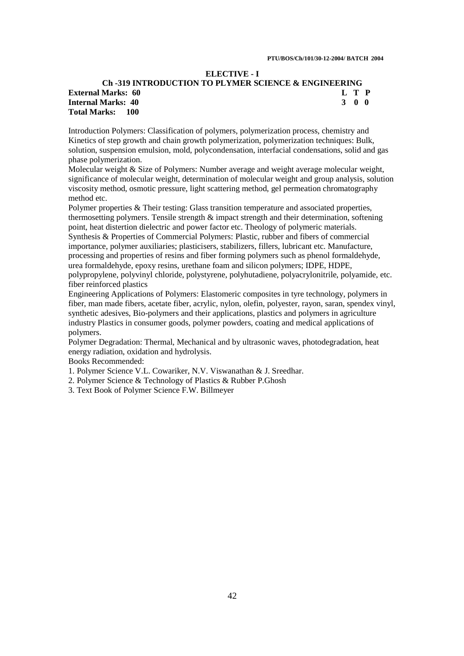## **ELECTIVE - I**

## **Ch -319 INTRODUCTION TO PLYMER SCIENCE & ENGINEERING External Marks: 60 L T P Internal Marks: 40 3 0 0 Total Marks: 100**

Introduction Polymers: Classification of polymers, polymerization process, chemistry and Kinetics of step growth and chain growth polymerization, polymerization techniques: Bulk, solution, suspension emulsion, mold, polycondensation, interfacial condensations, solid and gas phase polymerization.

Molecular weight & Size of Polymers: Number average and weight average molecular weight, significance of molecular weight, determination of molecular weight and group analysis, solution viscosity method, osmotic pressure, light scattering method, gel permeation chromatography method etc.

Polymer properties & Their testing: Glass transition temperature and associated properties, thermosetting polymers. Tensile strength & impact strength and their determination, softening point, heat distertion dielectric and power factor etc. Theology of polymeric materials. Synthesis & Properties of Commercial Polymers: Plastic, rubber and fibers of commercial importance, polymer auxiliaries; plasticisers, stabilizers, fillers, lubricant etc. Manufacture, processing and properties of resins and fiber forming polymers such as phenol formaldehyde, urea formaldehyde, epoxy resins, urethane foam and silicon polymers; IDPE, HDPE, polypropylene, polyvinyl chloride, polystyrene, polyhutadiene, polyacrylonitrile, polyamide, etc.

fiber reinforced plastics

Engineering Applications of Polymers: Elastomeric composites in tyre technology, polymers in fiber, man made fibers, acetate fiber, acrylic, nylon, olefin, polyester, rayon, saran, spendex vinyl, synthetic adesives, Bio-polymers and their applications, plastics and polymers in agriculture industry Plastics in consumer goods, polymer powders, coating and medical applications of polymers.

Polymer Degradation: Thermal, Mechanical and by ultrasonic waves, photodegradation, heat energy radiation, oxidation and hydrolysis.

Books Recommended:

1. Polymer Science V.L. Cowariker, N.V. Viswanathan & J. Sreedhar.

2. Polymer Science & Technology of Plastics & Rubber P.Ghosh

3. Text Book of Polymer Science F.W. Billmeyer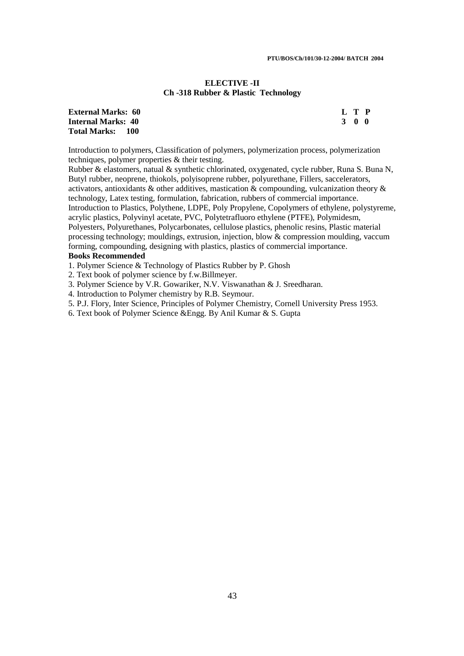## **ELECTIVE -II Ch -318 Rubber & Plastic Technology**

| <b>External Marks: 60</b> | L T P |  |
|---------------------------|-------|--|
| Internal Marks: 40        | 3 O O |  |
| <b>Total Marks: 100</b>   |       |  |

Introduction to polymers, Classification of polymers, polymerization process, polymerization techniques, polymer properties & their testing.

Rubber & elastomers, natual & synthetic chlorinated, oxygenated, cycle rubber, Runa S. Buna N, Butyl rubber, neoprene, thiokols, polyisoprene rubber, polyurethane, Fillers, saccelerators, activators, antioxidants & other additives, mastication & compounding, vulcanization theory & technology, Latex testing, formulation, fabrication, rubbers of commercial importance. Introduction to Plastics, Polythene, LDPE, Poly Propylene, Copolymers of ethylene, polystyreme, acrylic plastics, Polyvinyl acetate, PVC, Polytetrafluoro ethylene (PTFE), Polymidesm, Polyesters, Polyurethanes, Polycarbonates, cellulose plastics, phenolic resins, Plastic material processing technology; mouldings, extrusion, injection, blow & compression moulding, vaccum forming, compounding, designing with plastics, plastics of commercial importance.

## **Books Recommended**

1. Polymer Science & Technology of Plastics Rubber by P. Ghosh

2. Text book of polymer science by f.w.Billmeyer.

3. Polymer Science by V.R. Gowariker, N.V. Viswanathan & J. Sreedharan.

4. Introduction to Polymer chemistry by R.B. Seymour.

5. P.J. Flory, Inter Science, Principles of Polymer Chemistry, Cornell University Press 1953.

6. Text book of Polymer Science &Engg. By Anil Kumar & S. Gupta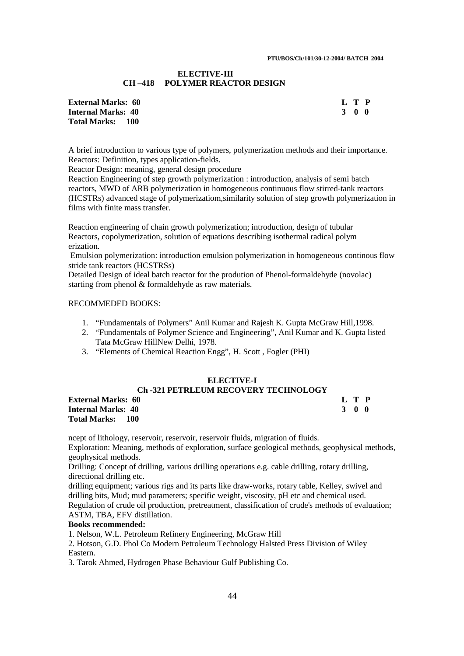#### **ELECTIVE-III CH –418 POLYMER REACTOR DESIGN**

| <b>External Marks:  60 </b> | L T P |       |  |
|-----------------------------|-------|-------|--|
| Internal Marks: 40          |       | 3 O O |  |
| Total Marks:     100        |       |       |  |

A brief introduction to various type of polymers, polymerization methods and their importance. Reactors: Definition, types application-fields.

Reactor Design: meaning, general design procedure

Reaction Engineering of step growth polymerization : introduction, analysis of semi batch reactors, MWD of ARB polymerization in homogeneous continuous flow stirred-tank reactors (HCSTRs) advanced stage of polymerizatiom,similarity solution of step growth polymerization in films with finite mass transfer.

Reaction engineering of chain growth polymerization; introduction, design of tubular Reactors, copolymerization, solution of equations describing isothermal radical polym erization.

 Emulsion polymerization: introduction emulsion polymerization in homogeneous continous flow stride tank reactors (HCSTRSs)

Detailed Design of ideal batch reactor for the prodution of Phenol-formaldehyde (novolac) starting from phenol & formaldehyde as raw materials.

## RECOMMEDED BOOKS:

- 1. "Fundamentals of Polymers" Anil Kumar and Rajesh K. Gupta McGraw Hill,1998.
- 2. "Fundamentals of Polymer Science and Engineering", Anil Kumar and K. Gupta listed Tata McGraw HillNew Delhi, 1978.
- 3. "Elements of Chemical Reaction Engg", H. Scott , Fogler (PHI)

## **ELECTIVE-I**

## **Ch -321 PETRLEUM RECOVERY TECHNOLOGY**

**External Marks: 60 L T P Internal Marks: 40 3 0 0 Total Marks: 100** 

ncept of lithology, reservoir, reservoir, reservoir fluids, migration of fluids.

Exploration: Meaning, methods of exploration, surface geological methods, geophysical methods, geophysical methods.

Drilling: Concept of drilling, various drilling operations e.g. cable drilling, rotary drilling, directional drilling etc.

drilling equipment; various rigs and its parts like draw-works, rotary table, Kelley, swivel and drilling bits, Mud; mud parameters; specific weight, viscosity, pH etc and chemical used. Regulation of crude oil production, pretreatment, classification of crude's methods of evaluation; ASTM, TBA, EFV distillation.

#### **Books recommended:**

1. Nelson, W.L. Petroleum Refinery Engineering, McGraw Hill

2. Hotson, G.D. Phol Co Modern Petroleum Technology Halsted Press Division of Wiley Eastern.

3. Tarok Ahmed, Hydrogen Phase Behaviour Gulf Publishing Co.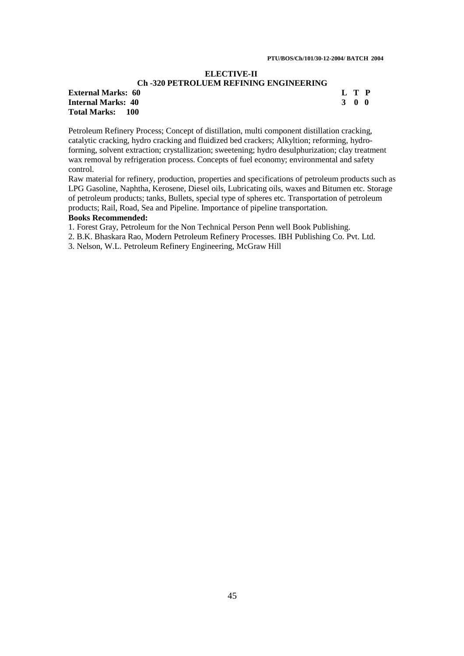## **ELECTIVE-II**

## **Ch -320 PETROLUEM REFINING ENGINEERING**

| <b>External Marks: 60</b>  |  |
|----------------------------|--|
| <b>Internal Marks: 40</b>  |  |
| <b>Total Marks:</b><br>100 |  |

**External Marks: 60 L T P Internal Marks: 40 3 0 0** 

Petroleum Refinery Process; Concept of distillation, multi component distillation cracking, catalytic cracking, hydro cracking and fluidized bed crackers; Alkyltion; reforming, hydroforming, solvent extraction; crystallization; sweetening; hydro desulphurization; clay treatment wax removal by refrigeration process. Concepts of fuel economy; environmental and safety control.

Raw material for refinery, production, properties and specifications of petroleum products such as LPG Gasoline, Naphtha, Kerosene, Diesel oils, Lubricating oils, waxes and Bitumen etc. Storage of petroleum products; tanks, Bullets, special type of spheres etc. Transportation of petroleum products; Rail, Road, Sea and Pipeline. Importance of pipeline transportation.

## **Books Recommended:**

1. Forest Gray, Petroleum for the Non Technical Person Penn well Book Publishing.

2. B.K. Bhaskara Rao, Modern Petroleum Refinery Processes. IBH Publishing Co. Pvt. Ltd.

3. Nelson, W.L. Petroleum Refinery Engineering, McGraw Hill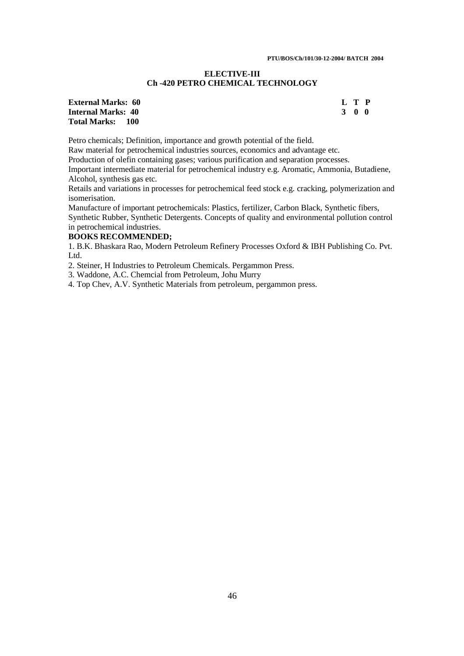## **ELECTIVE-III Ch -420 PETRO CHEMICAL TECHNOLOGY**

## **External Marks: 60 L T P Internal Marks: 40 3 0 0 Total Marks: 100**

Petro chemicals; Definition, importance and growth potential of the field.

Raw material for petrochemical industries sources, economics and advantage etc.

Production of olefin containing gases; various purification and separation processes.

Important intermediate material for petrochemical industry e.g. Aromatic, Ammonia, Butadiene, Alcohol, synthesis gas etc.

Retails and variations in processes for petrochemical feed stock e.g. cracking, polymerization and isomerisation.

Manufacture of important petrochemicals: Plastics, fertilizer, Carbon Black, Synthetic fibers, Synthetic Rubber, Synthetic Detergents. Concepts of quality and environmental pollution control in petrochemical industries.

## **BOOKS RECOMMENDED;**

1. B.K. Bhaskara Rao, Modern Petroleum Refinery Processes Oxford & IBH Publishing Co. Pvt. Ltd.

2. Steiner, H Industries to Petroleum Chemicals. Pergammon Press.

3. Waddone, A.C. Chemcial from Petroleum, Johu Murry

4. Top Chev, A.V. Synthetic Materials from petroleum, pergammon press.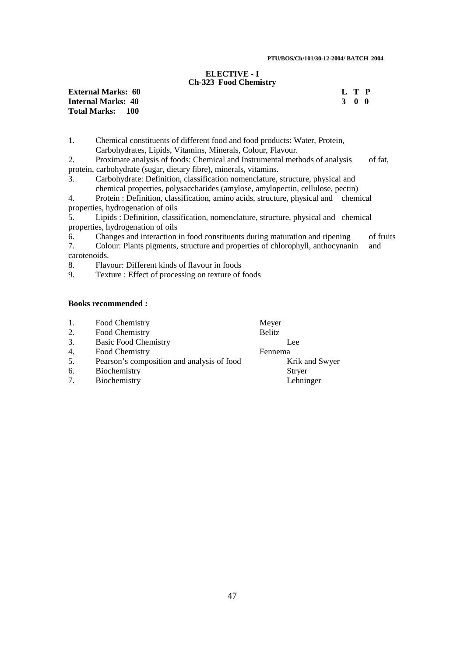#### **ELECTIVE - I Ch-323 Food Chemistry**

**External Marks: 60 Internal Marks: 40 Total Marks: 100** 

| Т. |              | Р            |
|----|--------------|--------------|
| -3 | $\mathbf{0}$ | $\mathbf{0}$ |

1. Chemical constituents of different food and food products: Water, Protein, Carbohydrates, Lipids, Vitamins, Minerals, Colour, Flavour.

2. Proximate analysis of foods: Chemical and Instrumental methods of analysis of fat, protein, carbohydrate (sugar, dietary fibre), minerals, vitamins.

3. Carbohydrate: Definition, classification nomenclature, structure, physical and chemical properties, polysaccharides (amylose, amylopectin, cellulose, pectin)

4. Protein : Definition, classification, amino acids, structure, physical and chemical properties, hydrogenation of oils

5. Lipids : Definition, classification, nomenclature, structure, physical and chemical properties, hydrogenation of oils

6. Changes and interaction in food constituents during maturation and ripening of fruits 7. Colour: Plants pigments, structure and properties of chlorophyll, anthocynanin and carotenoids.

8. Flavour: Different kinds of flavour in foods

9. Texture : Effect of processing on texture of foods

## **Books recommended :**

| 1. | Food Chemistry                             | Meyer          |
|----|--------------------------------------------|----------------|
| 2. | Food Chemistry                             | <b>Belitz</b>  |
| 3. | <b>Basic Food Chemistry</b>                | Lee            |
| 4. | Food Chemistry                             | Fennema        |
| 5. | Pearson's composition and analysis of food | Krik and Swyer |
| 6. | Biochemistry                               | <b>Stryer</b>  |
| 7. | Biochemistry                               | Lehninger      |
|    |                                            |                |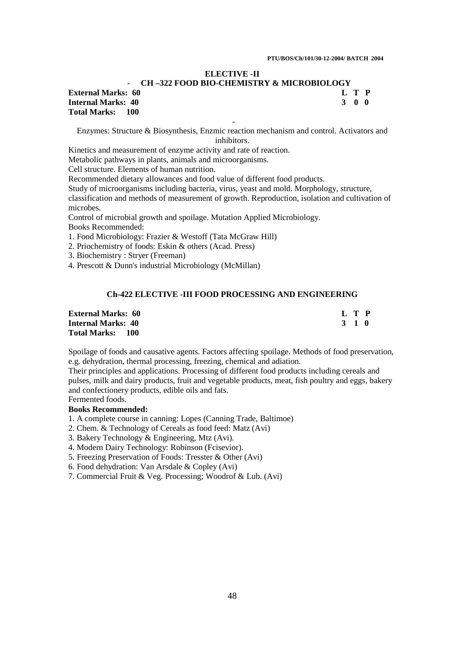## **ELECTIVE -II**

#### - **CH –322 FOOD BIO-CHEMISTRY & MICROBIOLOGY**

**External Marks: 60 L T P Total Marks: 100** 

**Internal Marks: 40 3 0 0**  -

Enzymes: Structure & Biosynthesis, Enzmic reaction mechanism and control. Activators and inhibitors.

Kinetics and measurement of enzyme activity and rate of reaction.

Metabolic pathways in plants, animals and microorganisms.

Cell structure. Elements of human nutrition.

Recommended dietary allowances and food value of different food products.

Study of microorganisms including bacteria, virus, yeast and mold. Morphology, structure, classification and methods of measurement of growth. Reproduction, isolation and cultivation of microbes.

Control of microbial growth and spoilage. Mutation Applied Microbiology.

Books Recommended:

1. Food Microbiology: Frazier & Westoff (Tata McGraw Hill)

2. Priochemistry of foods: Eskin & others (Acad. Press)

3. Biochemistry : Stryer (Freeman)

4. Prescott & Dunn's industrial Microbiology (McMillan)

## **Ch-422 ELECTIVE -III FOOD PROCESSING AND ENGINEERING**

| <b>External Marks: 60</b> | L T P |
|---------------------------|-------|
| <b>Internal Marks: 40</b> | 3 1 0 |
| Total Marks: 100          |       |

Spoilage of foods and causative agents. Factors affecting spoilage. Methods of food preservation, e.g. dehydration, thermal processing, freezing, chemical and adiation.

Their principles and applications. Processing of different food products including cereals and pulses, milk and dairy products, fruit and vegetable products, meat, fish poultry and eggs, bakery and confectionery products, edible oils and fats. Fermented foods.

**Books Recommended:** 

1. A complete course in canning: Lopes (Canning Trade, Baltimoe)

2. Chem. & Technology of Cereals as food feed: Matz (Avi)

3. Bakery Technology & Engineering, Mtz (Avi).

4. Modern Dairy Technology: Robinson (Fcisevior).

5. Freezing Preservation of Foods: Tresster & Other (Avi)

6. Food dehydration: Van Arsdale & Copley (Avi)

7. Commercial Fruit & Veg. Processing; Woodrof & Lub. (Avi)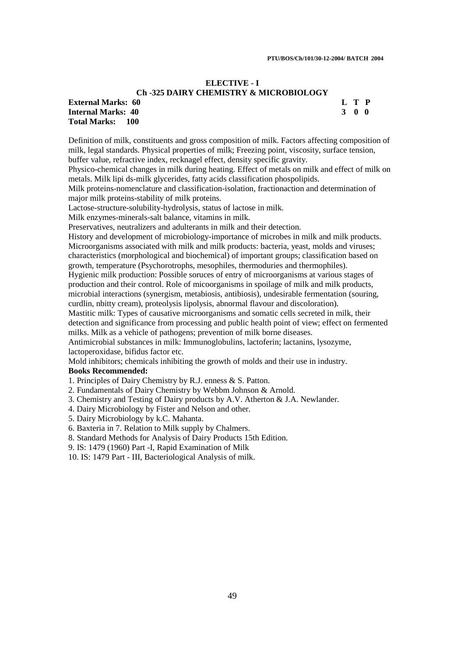#### **ELECTIVE - I Ch -325 DAIRY CHEMISTRY & MICROBIOLOGY**

## **External Marks: 60 L T P Internal Marks: 40 3 0 0**

**Total Marks: 100** 

Definition of milk, constituents and gross composition of milk. Factors affecting composition of milk, legal standards. Physical properties of milk; Freezing point, viscosity, surface tension, buffer value, refractive index, recknagel effect, density specific gravity.

Physico-chemical changes in milk during heating. Effect of metals on milk and effect of milk on metals. Milk lipi ds-milk glycerides, fatty acids classification phospolipids.

Milk proteins-nomenclature and classification-isolation, fractionaction and determination of major milk proteins-stability of milk proteins.

Lactose-structure-solubility-hydrolysis, status of lactose in milk.

Milk enzymes-minerals-salt balance, vitamins in milk.

Preservatives, neutralizers and adulterants in milk and their detection.

History and development of microbiology-importance of microbes in milk and milk products. Microorganisms associated with milk and milk products: bacteria, yeast, molds and viruses; characteristics (morphological and biochemical) of important groups; classification based on growth, temperature (Psychorotrophs, mesophiles, thermoduries and thermophiles).

Hygienic milk production: Possible soruces of entry of microorganisms at various stages of production and their control. Role of micoorganisms in spoilage of milk and milk products, microbial interactions (synergism, metabiosis, antibiosis), undesirable fermentation (souring, curdlin, nbitty cream), proteolysis lipolysis, abnormal flavour and discoloration).

Mastitic milk: Types of causative microorganisms and somatic cells secreted in milk, their detection and significance from processing and public health point of view; effect on fermented milks. Milk as a vehicle of pathogens; prevention of milk borne diseases.

Antimicrobial substances in milk: Immunoglobulins, lactoferin; lactanins, lysozyme, lactoperoxidase, bifidus factor etc.

Mold inhibitors; chemicals inhibiting the growth of molds and their use in industry.

## **Books Recommended:**

1. Principles of Dairy Chemistry by R.J. enness & S. Patton.

2. Fundamentals of Dairy Chemistry by Webbm Johnson & Arnold.

3. Chemistry and Testing of Dairy products by A.V. Atherton & J.A. Newlander.

4. Dairy Microbiology by Fister and Nelson and other.

5. Dairy Microbiology by k.C. Mahanta.

6. Baxteria in 7. Relation to Milk supply by Chalmers.

8. Standard Methods for Analysis of Dairy Products 15th Edition.

9. IS: 1479 (1960) Part -I, Rapid Examination of Milk

10. IS: 1479 Part - III, Bacteriological Analysis of milk.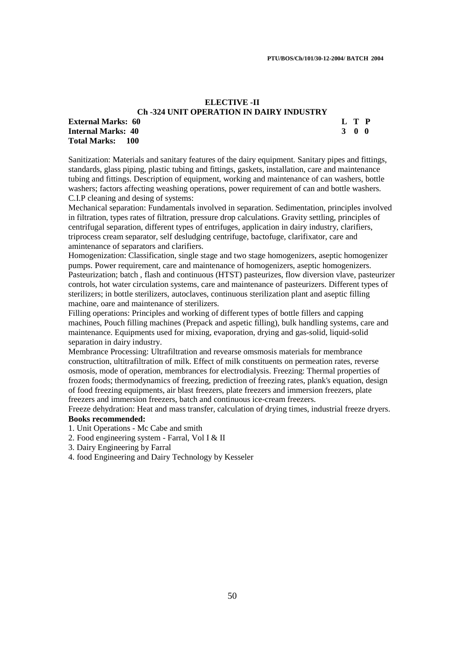## **ELECTIVE -II Ch -324 UNIT OPERATION IN DAIRY INDUSTRY**

## **External Marks: 60 L T P Internal Marks: 40 3 0 0 Total Marks: 100**

Sanitization: Materials and sanitary features of the dairy equipment. Sanitary pipes and fittings, standards, glass piping, plastic tubing and fittings, gaskets, installation, care and maintenance tubing and fittings. Description of equipment, working and maintenance of can washers, bottle washers; factors affecting weashing operations, power requirement of can and bottle washers. C.I.P cleaning and desing of systems:

Mechanical separation: Fundamentals involved in separation. Sedimentation, principles involved in filtration, types rates of filtration, pressure drop calculations. Gravity settling, principles of centrifugal separation, different types of entrifuges, application in dairy industry, clarifiers, triprocess cream separator, self desludging centrifuge, bactofuge, clarifixator, care and amintenance of separators and clarifiers.

Homogenization: Classification, single stage and two stage homogenizers, aseptic homogenizer pumps. Power requirement, care and maintenance of homogenizers, aseptic homogenizers. Pasteurization; batch , flash and continuous (HTST) pasteurizes, flow diversion vlave, pasteurizer controls, hot water circulation systems, care and maintenance of pasteurizers. Different types of sterilizers; in bottle sterilizers, autoclaves, continuous sterilization plant and aseptic filling machine, oare and maintenance of sterilizers.

Filling operations: Principles and working of different types of bottle fillers and capping machines, Pouch filling machines (Prepack and aspetic filling), bulk handling systems, care and maintenance. Equipments used for mixing, evaporation, drying and gas-solid, liquid-solid separation in dairy industry.

Membrance Processing: Ultrafiltration and revearse omsmosis materials for membrance construction, ultitrafiltration of milk. Effect of milk constituents on permeation rates, reverse osmosis, mode of operation, membrances for electrodialysis. Freezing: Thermal properties of frozen foods; thermodynamics of freezing, prediction of freezing rates, plank's equation, design of food freezing equipments, air blast freezers, plate freezers and immersion freezers, plate freezers and immersion freezers, batch and continuous ice-cream freezers.

Freeze dehydration: Heat and mass transfer, calculation of drying times, industrial freeze dryers. **Books recommended:** 

- 1. Unit Operations Mc Cabe and smith
- 2. Food engineering system Farral, Vol I & II
- 3. Dairy Engineering by Farral
- 4. food Engineering and Dairy Technology by Kesseler